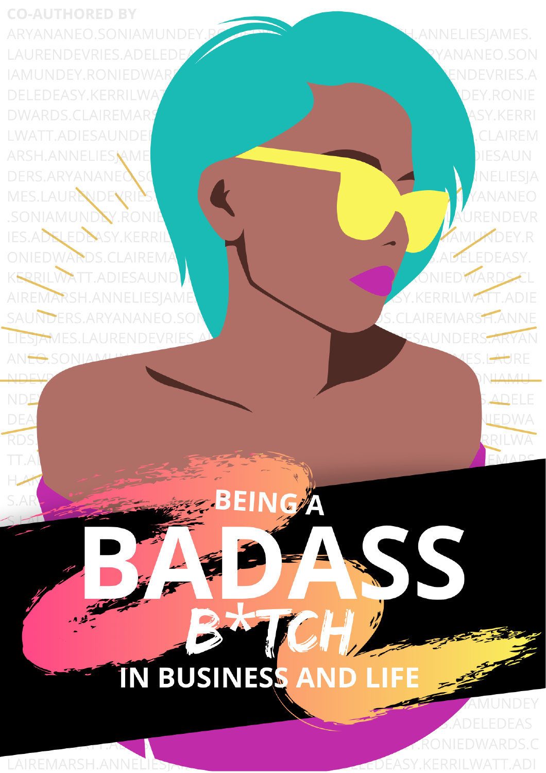**CO-AUTHORED BY** ARYANANEO.SONIAMUNDEY LAURENDEVRIES.ADELEDE **IAMUNDEY, RONIEDWAR DELEDEASY, KERRILWA DWARDS.CLAIREMAR LWATT, ADIESAUNDE** ARSH.ANNELIESNAME DERS.ARYANANEO MES.LAUR**NDEVRIP** SONIAMUNDY.RONIE **IES.ADSLEDEASY.KERRIL** ONIEDWARDS.CLAIREMA **KERRILWATT, ADIESAUND** AIREMARSH.ANNELIESJAME SAUNDERS, ARYANANEO, SO LIESTAMES.LAURENDEVRIES AN<del>FO</del>SONIAML

**NDE** 

**DEA** 

**RDS** 

TT.A

LAIREMARSH.ANNEL

YANANEO.SON **ENDEVRIES.A DEY.RONIE ASY.KERRI CLAIREM DIESAUN** INELIESIA YANANEO URENDEVR **MUKDEY.R DELEDEASY.** ONIEDWARDS KERRILWATT.ADIE S.CLAIREMARS<sub>T.</sub>ANNE ESAUNDERS<del>. ARYA</del>N

ES.L<del>AU</del>RE

**NILA NATT** 

**ADELE** 

UEDWA

RILWA

I.ANNELIESJAMES.

TCH N BUSINESS AND LIFE

**EING** 

**ADELEDEAS** RONIEDWARDS.C **EASY.KERRILWATT.ADI**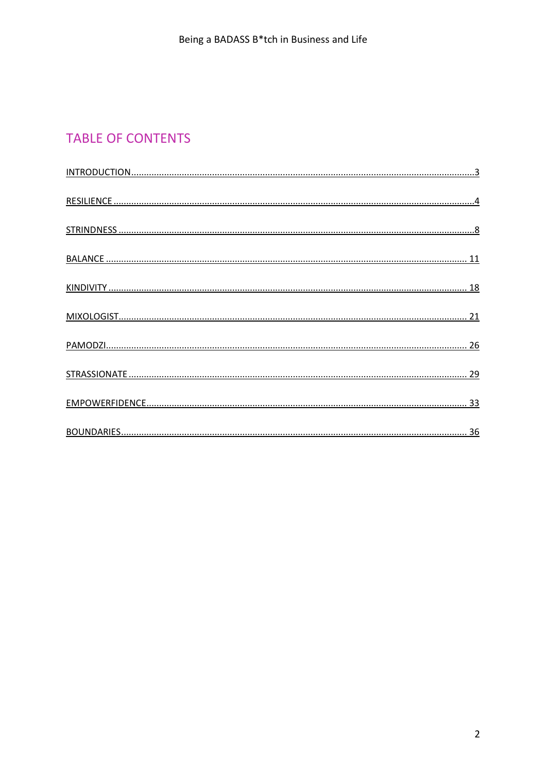# **TABLE OF CONTENTS**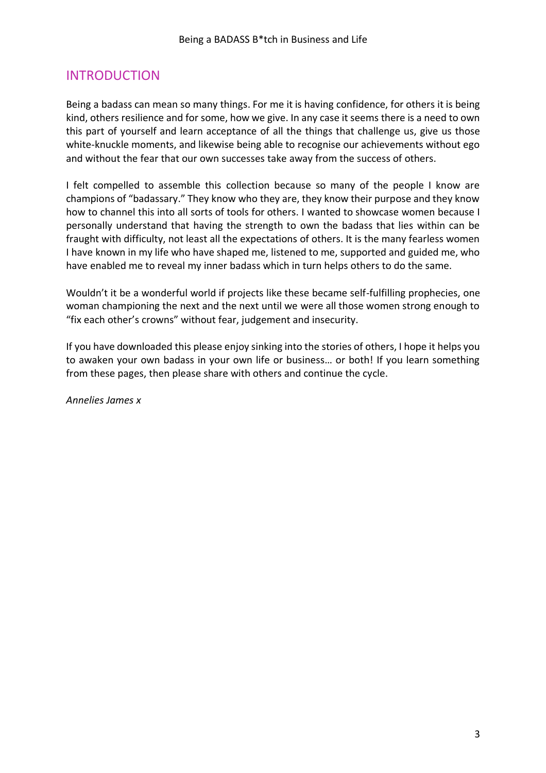# <span id="page-2-0"></span>INTRODUCTION

Being a badass can mean so many things. For me it is having confidence, for others it is being kind, others resilience and for some, how we give. In any case it seems there is a need to own this part of yourself and learn acceptance of all the things that challenge us, give us those white-knuckle moments, and likewise being able to recognise our achievements without ego and without the fear that our own successes take away from the success of others.

I felt compelled to assemble this collection because so many of the people I know are champions of "badassary." They know who they are, they know their purpose and they know how to channel this into all sorts of tools for others. I wanted to showcase women because I personally understand that having the strength to own the badass that lies within can be fraught with difficulty, not least all the expectations of others. It is the many fearless women I have known in my life who have shaped me, listened to me, supported and guided me, who have enabled me to reveal my inner badass which in turn helps others to do the same.

Wouldn't it be a wonderful world if projects like these became self-fulfilling prophecies, one woman championing the next and the next until we were all those women strong enough to "fix each other's crowns" without fear, judgement and insecurity.

If you have downloaded this please enjoy sinking into the stories of others, I hope it helps you to awaken your own badass in your own life or business… or both! If you learn something from these pages, then please share with others and continue the cycle.

*Annelies James x*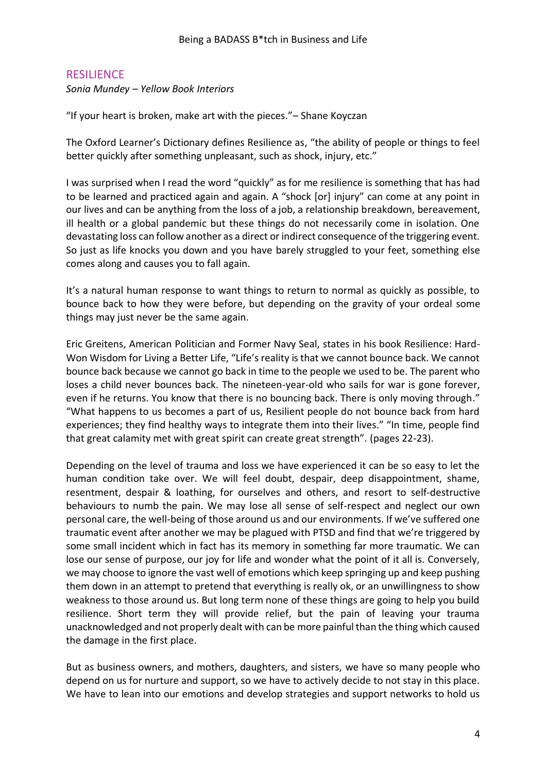# <span id="page-3-0"></span>**RESILIENCE**

*Sonia Mundey – Yellow Book Interiors* 

"If your heart is broken, make art with the pieces."– Shane Koyczan

The Oxford Learner's Dictionary defines Resilience as, "the ability of people or things to feel better quickly after something unpleasant, such as shock, injury, etc."

I was surprised when I read the word "quickly" as for me resilience is something that has had to be learned and practiced again and again. A "shock [or] injury" can come at any point in our lives and can be anything from the loss of a job, a relationship breakdown, bereavement, ill health or a global pandemic but these things do not necessarily come in isolation. One devastating loss can follow another as a direct or indirect consequence of the triggering event. So just as life knocks you down and you have barely struggled to your feet, something else comes along and causes you to fall again.

It's a natural human response to want things to return to normal as quickly as possible, to bounce back to how they were before, but depending on the gravity of your ordeal some things may just never be the same again.

Eric Greitens, American Politician and Former Navy Seal, states in his book Resilience: Hard-Won Wisdom for Living a Better Life, "Life's reality is that we cannot bounce back. We cannot bounce back because we cannot go back in time to the people we used to be. The parent who loses a child never bounces back. The nineteen-year-old who sails for war is gone forever, even if he returns. You know that there is no bouncing back. There is only moving through." "What happens to us becomes a part of us, Resilient people do not bounce back from hard experiences; they find healthy ways to integrate them into their lives." "In time, people find that great calamity met with great spirit can create great strength". (pages 22-23).

Depending on the level of trauma and loss we have experienced it can be so easy to let the human condition take over. We will feel doubt, despair, deep disappointment, shame, resentment, despair & loathing, for ourselves and others, and resort to self-destructive behaviours to numb the pain. We may lose all sense of self-respect and neglect our own personal care, the well-being of those around us and our environments. If we've suffered one traumatic event after another we may be plagued with PTSD and find that we're triggered by some small incident which in fact has its memory in something far more traumatic. We can lose our sense of purpose, our joy for life and wonder what the point of it all is. Conversely, we may choose to ignore the vast well of emotions which keep springing up and keep pushing them down in an attempt to pretend that everything is really ok, or an unwillingness to show weakness to those around us. But long term none of these things are going to help you build resilience. Short term they will provide relief, but the pain of leaving your trauma unacknowledged and not properly dealt with can be more painful than the thing which caused the damage in the first place.

But as business owners, and mothers, daughters, and sisters, we have so many people who depend on us for nurture and support, so we have to actively decide to not stay in this place. We have to lean into our emotions and develop strategies and support networks to hold us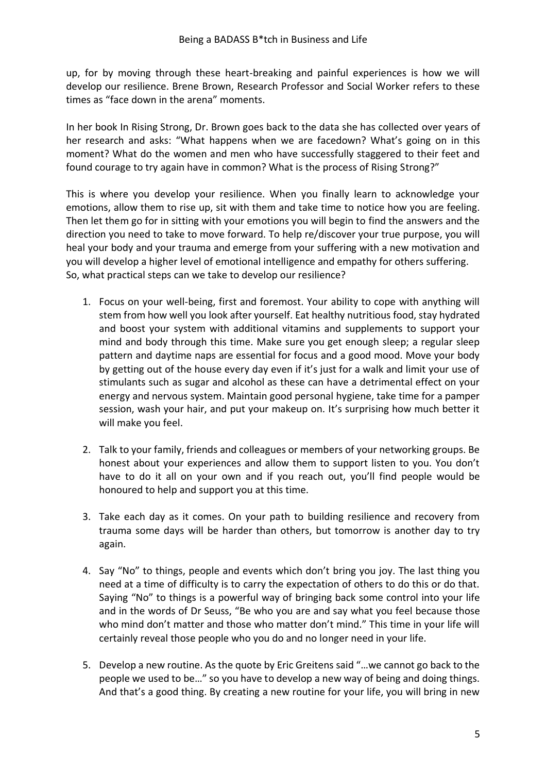up, for by moving through these heart-breaking and painful experiences is how we will develop our resilience. Brene Brown, Research Professor and Social Worker refers to these times as "face down in the arena" moments.

In her book In Rising Strong, Dr. Brown goes back to the data she has collected over years of her research and asks: "What happens when we are facedown? What's going on in this moment? What do the women and men who have successfully staggered to their feet and found courage to try again have in common? What is the process of Rising Strong?"

This is where you develop your resilience. When you finally learn to acknowledge your emotions, allow them to rise up, sit with them and take time to notice how you are feeling. Then let them go for in sitting with your emotions you will begin to find the answers and the direction you need to take to move forward. To help re/discover your true purpose, you will heal your body and your trauma and emerge from your suffering with a new motivation and you will develop a higher level of emotional intelligence and empathy for others suffering. So, what practical steps can we take to develop our resilience?

- 1. Focus on your well-being, first and foremost. Your ability to cope with anything will stem from how well you look after yourself. Eat healthy nutritious food, stay hydrated and boost your system with additional vitamins and supplements to support your mind and body through this time. Make sure you get enough sleep; a regular sleep pattern and daytime naps are essential for focus and a good mood. Move your body by getting out of the house every day even if it's just for a walk and limit your use of stimulants such as sugar and alcohol as these can have a detrimental effect on your energy and nervous system. Maintain good personal hygiene, take time for a pamper session, wash your hair, and put your makeup on. It's surprising how much better it will make you feel.
- 2. Talk to your family, friends and colleagues or members of your networking groups. Be honest about your experiences and allow them to support listen to you. You don't have to do it all on your own and if you reach out, you'll find people would be honoured to help and support you at this time.
- 3. Take each day as it comes. On your path to building resilience and recovery from trauma some days will be harder than others, but tomorrow is another day to try again.
- 4. Say "No" to things, people and events which don't bring you joy. The last thing you need at a time of difficulty is to carry the expectation of others to do this or do that. Saying "No" to things is a powerful way of bringing back some control into your life and in the words of Dr Seuss, "Be who you are and say what you feel because those who mind don't matter and those who matter don't mind." This time in your life will certainly reveal those people who you do and no longer need in your life.
- 5. Develop a new routine. As the quote by Eric Greitens said "…we cannot go back to the people we used to be…" so you have to develop a new way of being and doing things. And that's a good thing. By creating a new routine for your life, you will bring in new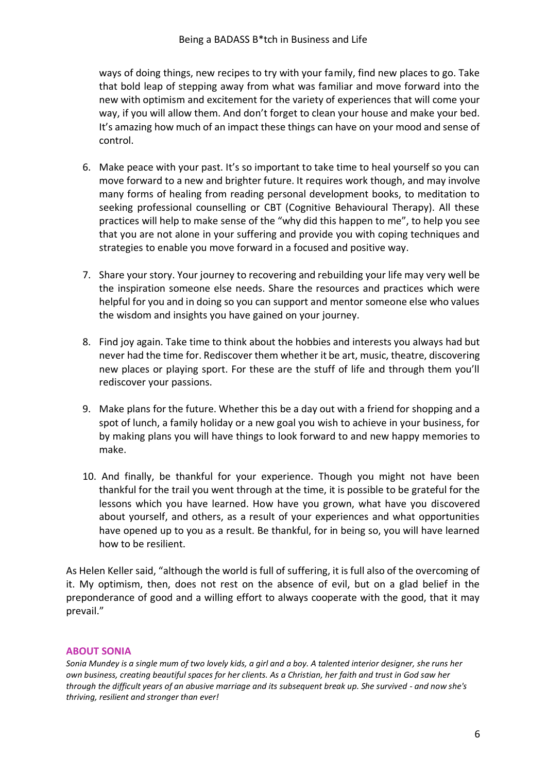ways of doing things, new recipes to try with your family, find new places to go. Take that bold leap of stepping away from what was familiar and move forward into the new with optimism and excitement for the variety of experiences that will come your way, if you will allow them. And don't forget to clean your house and make your bed. It's amazing how much of an impact these things can have on your mood and sense of control.

- 6. Make peace with your past. It's so important to take time to heal yourself so you can move forward to a new and brighter future. It requires work though, and may involve many forms of healing from reading personal development books, to meditation to seeking professional counselling or CBT (Cognitive Behavioural Therapy). All these practices will help to make sense of the "why did this happen to me", to help you see that you are not alone in your suffering and provide you with coping techniques and strategies to enable you move forward in a focused and positive way.
- 7. Share your story. Your journey to recovering and rebuilding your life may very well be the inspiration someone else needs. Share the resources and practices which were helpful for you and in doing so you can support and mentor someone else who values the wisdom and insights you have gained on your journey.
- 8. Find joy again. Take time to think about the hobbies and interests you always had but never had the time for. Rediscover them whether it be art, music, theatre, discovering new places or playing sport. For these are the stuff of life and through them you'll rediscover your passions.
- 9. Make plans for the future. Whether this be a day out with a friend for shopping and a spot of lunch, a family holiday or a new goal you wish to achieve in your business, for by making plans you will have things to look forward to and new happy memories to make.
- 10. And finally, be thankful for your experience. Though you might not have been thankful for the trail you went through at the time, it is possible to be grateful for the lessons which you have learned. How have you grown, what have you discovered about yourself, and others, as a result of your experiences and what opportunities have opened up to you as a result. Be thankful, for in being so, you will have learned how to be resilient.

As Helen Keller said, "although the world is full of suffering, it is full also of the overcoming of it. My optimism, then, does not rest on the absence of evil, but on a glad belief in the preponderance of good and a willing effort to always cooperate with the good, that it may prevail."

#### **ABOUT SONIA**

*Sonia Mundey is a single mum of two lovely kids, a girl and a boy. A talented interior designer, she runs her own business, creating beautiful spaces for her clients. As a Christian, her faith and trust in God saw her through the difficult years of an abusive marriage and its subsequent break up. She survived - and now she's thriving, resilient and stronger than ever!*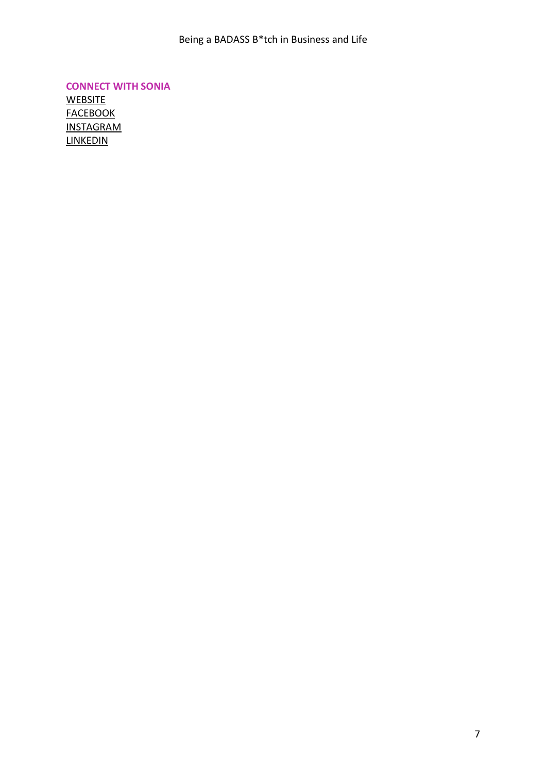**CONNECT WITH SONIA [WEBSITE](https://www.yellowbookinteriors.co.uk/) [FACEBOOK](https://www.facebook.com/yellowbookinteriors/)** [INSTAGRAM](https://www.instagram.com/yellowbookinteriors/) [LINKEDIN](https://www.linkedin.com/in/soniamundey/)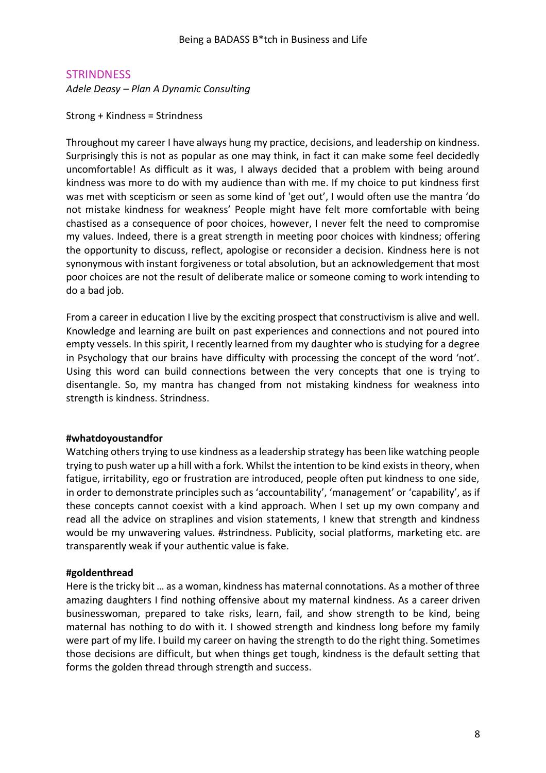### <span id="page-7-0"></span>**STRINDNESS**

*Adele Deasy – Plan A Dynamic Consulting* 

Strong + Kindness = Strindness

Throughout my career I have always hung my practice, decisions, and leadership on kindness. Surprisingly this is not as popular as one may think, in fact it can make some feel decidedly uncomfortable! As difficult as it was, I always decided that a problem with being around kindness was more to do with my audience than with me. If my choice to put kindness first was met with scepticism or seen as some kind of 'get out', I would often use the mantra 'do not mistake kindness for weakness' People might have felt more comfortable with being chastised as a consequence of poor choices, however, I never felt the need to compromise my values. Indeed, there is a great strength in meeting poor choices with kindness; offering the opportunity to discuss, reflect, apologise or reconsider a decision. Kindness here is not synonymous with instant forgiveness or total absolution, but an acknowledgement that most poor choices are not the result of deliberate malice or someone coming to work intending to do a bad job.

From a career in education I live by the exciting prospect that constructivism is alive and well. Knowledge and learning are built on past experiences and connections and not poured into empty vessels. In this spirit, I recently learned from my daughter who is studying for a degree in Psychology that our brains have difficulty with processing the concept of the word 'not'. Using this word can build connections between the very concepts that one is trying to disentangle. So, my mantra has changed from not mistaking kindness for weakness into strength is kindness. Strindness.

#### **#whatdoyoustandfor**

Watching others trying to use kindness as a leadership strategy has been like watching people trying to push water up a hill with a fork. Whilst the intention to be kind exists in theory, when fatigue, irritability, ego or frustration are introduced, people often put kindness to one side, in order to demonstrate principles such as 'accountability', 'management' or 'capability', as if these concepts cannot coexist with a kind approach. When I set up my own company and read all the advice on straplines and vision statements, I knew that strength and kindness would be my unwavering values. #strindness. Publicity, social platforms, marketing etc. are transparently weak if your authentic value is fake.

#### **#goldenthread**

Here is the tricky bit … as a woman, kindness has maternal connotations. As a mother of three amazing daughters I find nothing offensive about my maternal kindness. As a career driven businesswoman, prepared to take risks, learn, fail, and show strength to be kind, being maternal has nothing to do with it. I showed strength and kindness long before my family were part of my life. I build my career on having the strength to do the right thing. Sometimes those decisions are difficult, but when things get tough, kindness is the default setting that forms the golden thread through strength and success.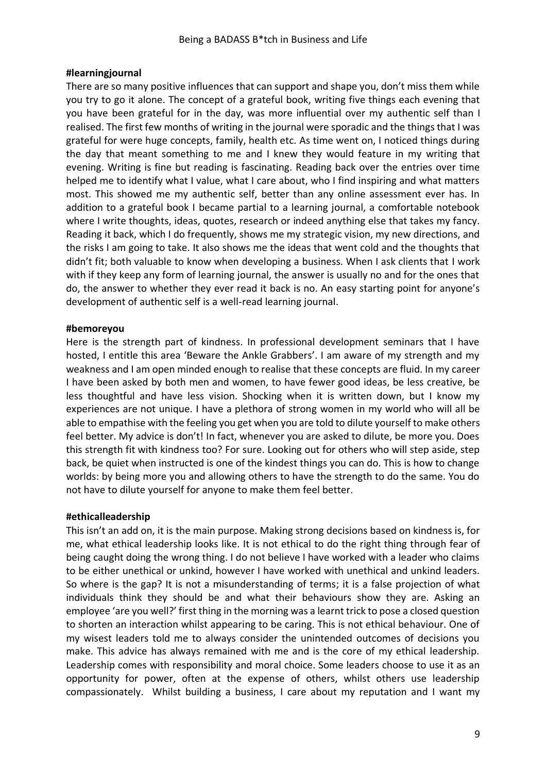### **#learningjournal**

There are so many positive influences that can support and shape you, don't miss them while you try to go it alone. The concept of a grateful book, writing five things each evening that you have been grateful for in the day, was more influential over my authentic self than I realised. The first few months of writing in the journal were sporadic and the things that I was grateful for were huge concepts, family, health etc. As time went on, I noticed things during the day that meant something to me and I knew they would feature in my writing that evening. Writing is fine but reading is fascinating. Reading back over the entries over time helped me to identify what I value, what I care about, who I find inspiring and what matters most. This showed me my authentic self, better than any online assessment ever has. In addition to a grateful book I became partial to a learning journal, a comfortable notebook where I write thoughts, ideas, quotes, research or indeed anything else that takes my fancy. Reading it back, which I do frequently, shows me my strategic vision, my new directions, and the risks I am going to take. It also shows me the ideas that went cold and the thoughts that didn't fit; both valuable to know when developing a business. When I ask clients that I work with if they keep any form of learning journal, the answer is usually no and for the ones that do, the answer to whether they ever read it back is no. An easy starting point for anyone's development of authentic self is a well-read learning journal.

### **#bemoreyou**

Here is the strength part of kindness. In professional development seminars that I have hosted, I entitle this area 'Beware the Ankle Grabbers'. I am aware of my strength and my weakness and I am open minded enough to realise that these concepts are fluid. In my career I have been asked by both men and women, to have fewer good ideas, be less creative, be less thoughtful and have less vision. Shocking when it is written down, but I know my experiences are not unique. I have a plethora of strong women in my world who will all be able to empathise with the feeling you get when you are told to dilute yourself to make others feel better. My advice is don't! In fact, whenever you are asked to dilute, be more you. Does this strength fit with kindness too? For sure. Looking out for others who will step aside, step back, be quiet when instructed is one of the kindest things you can do. This is how to change worlds: by being more you and allowing others to have the strength to do the same. You do not have to dilute yourself for anyone to make them feel better.

### **#ethicalleadership**

This isn't an add on, it is the main purpose. Making strong decisions based on kindness is, for me, what ethical leadership looks like. It is not ethical to do the right thing through fear of being caught doing the wrong thing. I do not believe I have worked with a leader who claims to be either unethical or unkind, however I have worked with unethical and unkind leaders. So where is the gap? It is not a misunderstanding of terms; it is a false projection of what individuals think they should be and what their behaviours show they are. Asking an employee 'are you well?' first thing in the morning was a learnt trick to pose a closed question to shorten an interaction whilst appearing to be caring. This is not ethical behaviour. One of my wisest leaders told me to always consider the unintended outcomes of decisions you make. This advice has always remained with me and is the core of my ethical leadership. Leadership comes with responsibility and moral choice. Some leaders choose to use it as an opportunity for power, often at the expense of others, whilst others use leadership compassionately. Whilst building a business, I care about my reputation and I want my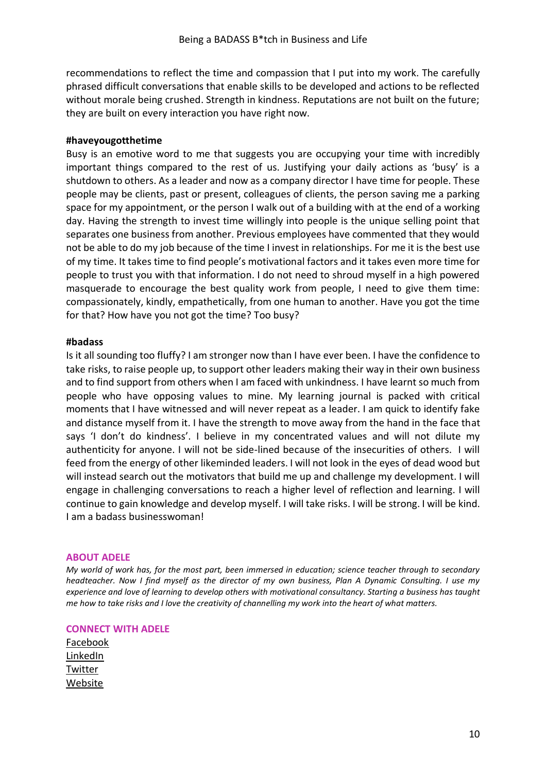recommendations to reflect the time and compassion that I put into my work. The carefully phrased difficult conversations that enable skills to be developed and actions to be reflected without morale being crushed. Strength in kindness. Reputations are not built on the future; they are built on every interaction you have right now.

#### **#haveyougotthetime**

Busy is an emotive word to me that suggests you are occupying your time with incredibly important things compared to the rest of us. Justifying your daily actions as 'busy' is a shutdown to others. As a leader and now as a company director I have time for people. These people may be clients, past or present, colleagues of clients, the person saving me a parking space for my appointment, or the person I walk out of a building with at the end of a working day. Having the strength to invest time willingly into people is the unique selling point that separates one business from another. Previous employees have commented that they would not be able to do my job because of the time I invest in relationships. For me it is the best use of my time. It takes time to find people's motivational factors and it takes even more time for people to trust you with that information. I do not need to shroud myself in a high powered masquerade to encourage the best quality work from people, I need to give them time: compassionately, kindly, empathetically, from one human to another. Have you got the time for that? How have you not got the time? Too busy?

#### **#badass**

Is it all sounding too fluffy? I am stronger now than I have ever been. I have the confidence to take risks, to raise people up, to support other leaders making their way in their own business and to find support from others when I am faced with unkindness. I have learnt so much from people who have opposing values to mine. My learning journal is packed with critical moments that I have witnessed and will never repeat as a leader. I am quick to identify fake and distance myself from it. I have the strength to move away from the hand in the face that says 'I don't do kindness'. I believe in my concentrated values and will not dilute my authenticity for anyone. I will not be side-lined because of the insecurities of others. I will feed from the energy of other likeminded leaders. I will not look in the eyes of dead wood but will instead search out the motivators that build me up and challenge my development. I will engage in challenging conversations to reach a higher level of reflection and learning. I will continue to gain knowledge and develop myself. I will take risks. I will be strong. I will be kind. I am a badass businesswoman!

#### **ABOUT ADELE**

*My world of work has, for the most part, been immersed in education; science teacher through to secondary headteacher. Now I find myself as the director of my own business, Plan A Dynamic Consulting. I use my experience and love of learning to develop others with motivational consultancy. Starting a business has taught me how to take risks and I love the creativity of channelling my work into the heart of what matters.* 

#### **CONNECT WITH ADELE**

[Facebook](https://www.facebook.com/PlanADynamicConsulting) [LinkedIn](https://www.linkedin.com/in/plan-a-adele-deasy/) [Twitter](https://twitter.com/AdelePlanA) [Website](https://www.plana-dc.co.uk/)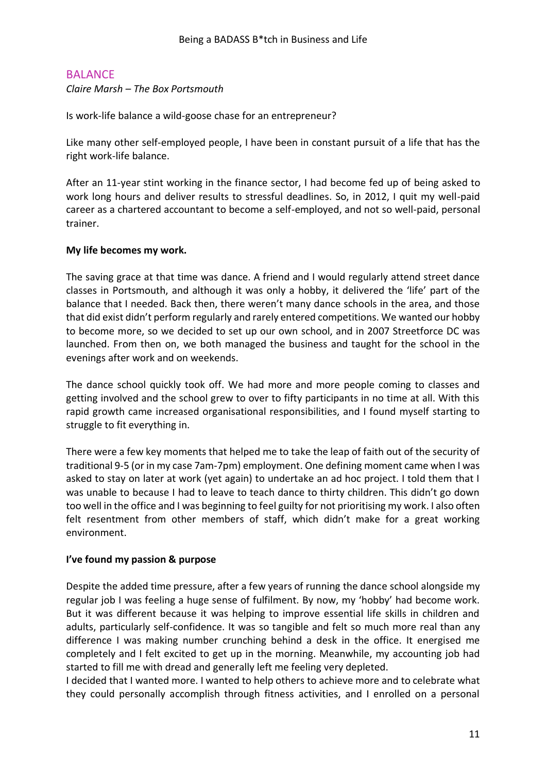# <span id="page-10-0"></span>BALANCE

*Claire Marsh – The Box Portsmouth* 

Is work-life balance a wild-goose chase for an entrepreneur?

Like many other self-employed people, I have been in constant pursuit of a life that has the right work-life balance.

After an 11-year stint working in the finance sector, I had become fed up of being asked to work long hours and deliver results to stressful deadlines. So, in 2012, I quit my well-paid career as a chartered accountant to become a self-employed, and not so well-paid, personal trainer.

### **My life becomes my work.**

The saving grace at that time was dance. A friend and I would regularly attend street dance classes in Portsmouth, and although it was only a hobby, it delivered the 'life' part of the balance that I needed. Back then, there weren't many dance schools in the area, and those that did exist didn't perform regularly and rarely entered competitions. We wanted our hobby to become more, so we decided to set up our own school, and in 2007 Streetforce DC was launched. From then on, we both managed the business and taught for the school in the evenings after work and on weekends.

The dance school quickly took off. We had more and more people coming to classes and getting involved and the school grew to over to fifty participants in no time at all. With this rapid growth came increased organisational responsibilities, and I found myself starting to struggle to fit everything in.

There were a few key moments that helped me to take the leap of faith out of the security of traditional 9-5 (or in my case 7am-7pm) employment. One defining moment came when I was asked to stay on later at work (yet again) to undertake an ad hoc project. I told them that I was unable to because I had to leave to teach dance to thirty children. This didn't go down too well in the office and I was beginning to feel guilty for not prioritising my work. I also often felt resentment from other members of staff, which didn't make for a great working environment.

### **I've found my passion & purpose**

Despite the added time pressure, after a few years of running the dance school alongside my regular job I was feeling a huge sense of fulfilment. By now, my 'hobby' had become work. But it was different because it was helping to improve essential life skills in children and adults, particularly self-confidence. It was so tangible and felt so much more real than any difference I was making number crunching behind a desk in the office. It energised me completely and I felt excited to get up in the morning. Meanwhile, my accounting job had started to fill me with dread and generally left me feeling very depleted.

I decided that I wanted more. I wanted to help others to achieve more and to celebrate what they could personally accomplish through fitness activities, and I enrolled on a personal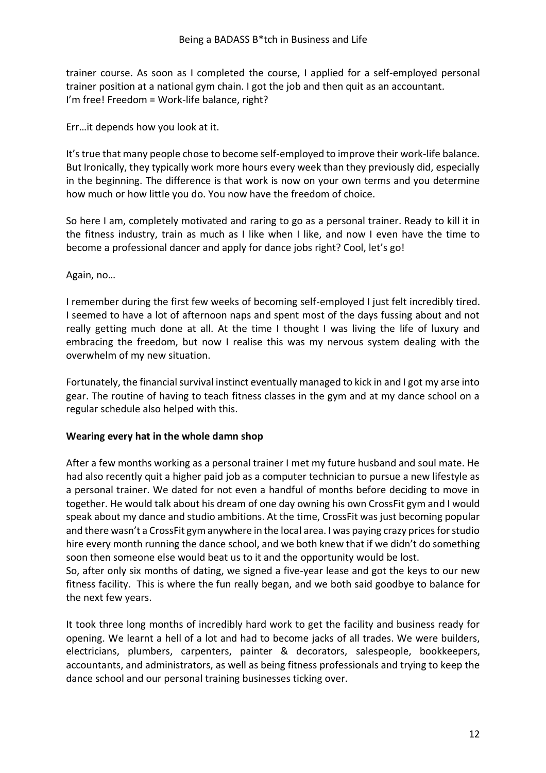trainer course. As soon as I completed the course, I applied for a self-employed personal trainer position at a national gym chain. I got the job and then quit as an accountant. I'm free! Freedom = Work-life balance, right?

Err…it depends how you look at it.

It's true that many people chose to become self-employed to improve their work-life balance. But Ironically, they typically work more hours every week than they previously did, especially in the beginning. The difference is that work is now on your own terms and you determine how much or how little you do. You now have the freedom of choice.

So here I am, completely motivated and raring to go as a personal trainer. Ready to kill it in the fitness industry, train as much as I like when I like, and now I even have the time to become a professional dancer and apply for dance jobs right? Cool, let's go!

Again, no…

I remember during the first few weeks of becoming self-employed I just felt incredibly tired. I seemed to have a lot of afternoon naps and spent most of the days fussing about and not really getting much done at all. At the time I thought I was living the life of luxury and embracing the freedom, but now I realise this was my nervous system dealing with the overwhelm of my new situation.

Fortunately, the financial survival instinct eventually managed to kick in and I got my arse into gear. The routine of having to teach fitness classes in the gym and at my dance school on a regular schedule also helped with this.

### **Wearing every hat in the whole damn shop**

After a few months working as a personal trainer I met my future husband and soul mate. He had also recently quit a higher paid job as a computer technician to pursue a new lifestyle as a personal trainer. We dated for not even a handful of months before deciding to move in together. He would talk about his dream of one day owning his own CrossFit gym and I would speak about my dance and studio ambitions. At the time, CrossFit was just becoming popular and there wasn't a CrossFit gym anywhere in the local area. I was paying crazy prices for studio hire every month running the dance school, and we both knew that if we didn't do something soon then someone else would beat us to it and the opportunity would be lost.

So, after only six months of dating, we signed a five-year lease and got the keys to our new fitness facility. This is where the fun really began, and we both said goodbye to balance for the next few years.

It took three long months of incredibly hard work to get the facility and business ready for opening. We learnt a hell of a lot and had to become jacks of all trades. We were builders, electricians, plumbers, carpenters, painter & decorators, salespeople, bookkeepers, accountants, and administrators, as well as being fitness professionals and trying to keep the dance school and our personal training businesses ticking over.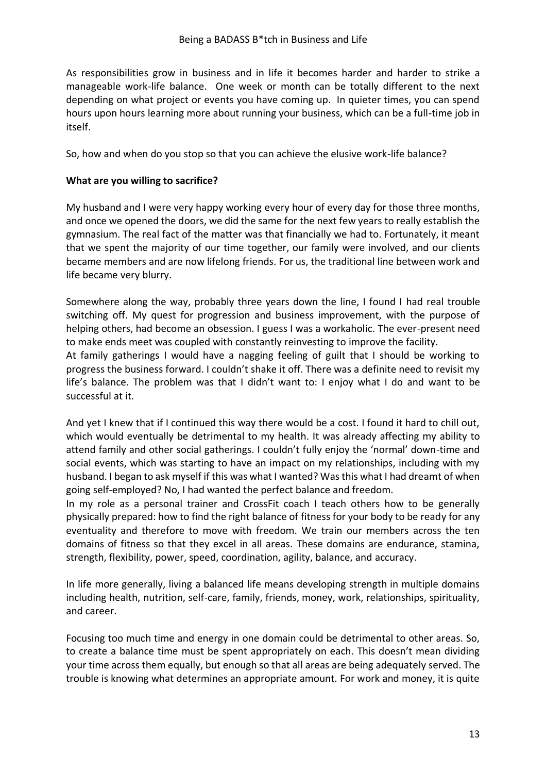As responsibilities grow in business and in life it becomes harder and harder to strike a manageable work-life balance. One week or month can be totally different to the next depending on what project or events you have coming up. In quieter times, you can spend hours upon hours learning more about running your business, which can be a full-time job in itself.

So, how and when do you stop so that you can achieve the elusive work-life balance?

### **What are you willing to sacrifice?**

My husband and I were very happy working every hour of every day for those three months, and once we opened the doors, we did the same for the next few years to really establish the gymnasium. The real fact of the matter was that financially we had to. Fortunately, it meant that we spent the majority of our time together, our family were involved, and our clients became members and are now lifelong friends. For us, the traditional line between work and life became very blurry.

Somewhere along the way, probably three years down the line, I found I had real trouble switching off. My quest for progression and business improvement, with the purpose of helping others, had become an obsession. I guess I was a workaholic. The ever-present need to make ends meet was coupled with constantly reinvesting to improve the facility.

At family gatherings I would have a nagging feeling of guilt that I should be working to progress the business forward. I couldn't shake it off. There was a definite need to revisit my life's balance. The problem was that I didn't want to: I enjoy what I do and want to be successful at it.

And yet I knew that if I continued this way there would be a cost. I found it hard to chill out, which would eventually be detrimental to my health. It was already affecting my ability to attend family and other social gatherings. I couldn't fully enjoy the 'normal' down-time and social events, which was starting to have an impact on my relationships, including with my husband. I began to ask myself if this was what I wanted? Was this what I had dreamt of when going self-employed? No, I had wanted the perfect balance and freedom.

In my role as a personal trainer and CrossFit coach I teach others how to be generally physically prepared: how to find the right balance of fitness for your body to be ready for any eventuality and therefore to move with freedom. We train our members across the ten domains of fitness so that they excel in all areas. These domains are endurance, stamina, strength, flexibility, power, speed, coordination, agility, balance, and accuracy.

In life more generally, living a balanced life means developing strength in multiple domains including health, nutrition, self-care, family, friends, money, work, relationships, spirituality, and career.

Focusing too much time and energy in one domain could be detrimental to other areas. So, to create a balance time must be spent appropriately on each. This doesn't mean dividing your time across them equally, but enough so that all areas are being adequately served. The trouble is knowing what determines an appropriate amount. For work and money, it is quite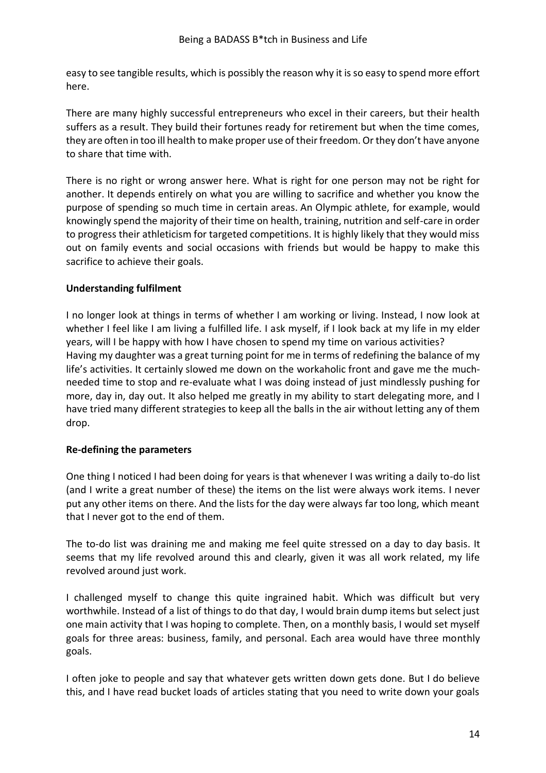easy to see tangible results, which is possibly the reason why it is so easy to spend more effort here.

There are many highly successful entrepreneurs who excel in their careers, but their health suffers as a result. They build their fortunes ready for retirement but when the time comes, they are often in too ill health to make proper use of their freedom. Or they don't have anyone to share that time with.

There is no right or wrong answer here. What is right for one person may not be right for another. It depends entirely on what you are willing to sacrifice and whether you know the purpose of spending so much time in certain areas. An Olympic athlete, for example, would knowingly spend the majority of their time on health, training, nutrition and self-care in order to progress their athleticism for targeted competitions. It is highly likely that they would miss out on family events and social occasions with friends but would be happy to make this sacrifice to achieve their goals.

### **Understanding fulfilment**

I no longer look at things in terms of whether I am working or living. Instead, I now look at whether I feel like I am living a fulfilled life. I ask myself, if I look back at my life in my elder years, will I be happy with how I have chosen to spend my time on various activities? Having my daughter was a great turning point for me in terms of redefining the balance of my life's activities. It certainly slowed me down on the workaholic front and gave me the muchneeded time to stop and re-evaluate what I was doing instead of just mindlessly pushing for more, day in, day out. It also helped me greatly in my ability to start delegating more, and I have tried many different strategies to keep all the balls in the air without letting any of them drop.

#### **Re-defining the parameters**

One thing I noticed I had been doing for years is that whenever I was writing a daily to-do list (and I write a great number of these) the items on the list were always work items. I never put any other items on there. And the lists for the day were always far too long, which meant that I never got to the end of them.

The to-do list was draining me and making me feel quite stressed on a day to day basis. It seems that my life revolved around this and clearly, given it was all work related, my life revolved around just work.

I challenged myself to change this quite ingrained habit. Which was difficult but very worthwhile. Instead of a list of things to do that day, I would brain dump items but select just one main activity that I was hoping to complete. Then, on a monthly basis, I would set myself goals for three areas: business, family, and personal. Each area would have three monthly goals.

I often joke to people and say that whatever gets written down gets done. But I do believe this, and I have read bucket loads of articles stating that you need to write down your goals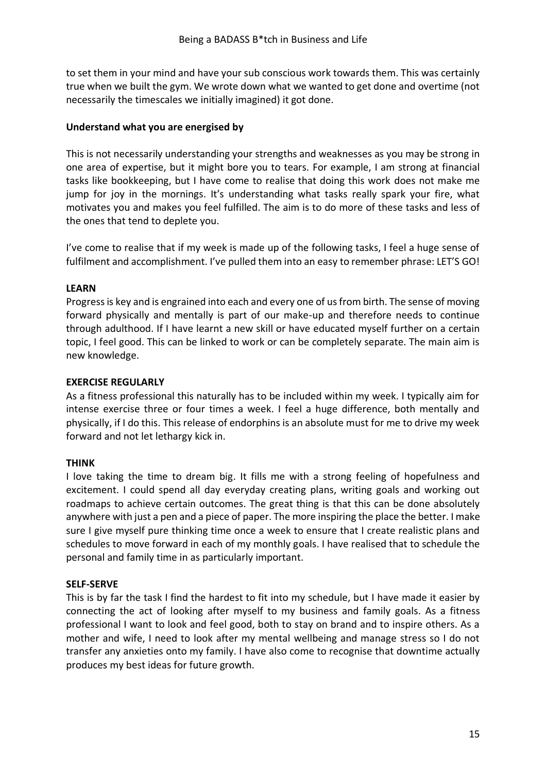to set them in your mind and have your sub conscious work towards them. This was certainly true when we built the gym. We wrote down what we wanted to get done and overtime (not necessarily the timescales we initially imagined) it got done.

### **Understand what you are energised by**

This is not necessarily understanding your strengths and weaknesses as you may be strong in one area of expertise, but it might bore you to tears. For example, I am strong at financial tasks like bookkeeping, but I have come to realise that doing this work does not make me jump for joy in the mornings. It's understanding what tasks really spark your fire, what motivates you and makes you feel fulfilled. The aim is to do more of these tasks and less of the ones that tend to deplete you.

I've come to realise that if my week is made up of the following tasks, I feel a huge sense of fulfilment and accomplishment. I've pulled them into an easy to remember phrase: LET'S GO!

### **LEARN**

Progress is key and is engrained into each and every one of us from birth. The sense of moving forward physically and mentally is part of our make-up and therefore needs to continue through adulthood. If I have learnt a new skill or have educated myself further on a certain topic, I feel good. This can be linked to work or can be completely separate. The main aim is new knowledge.

### **EXERCISE REGULARLY**

As a fitness professional this naturally has to be included within my week. I typically aim for intense exercise three or four times a week. I feel a huge difference, both mentally and physically, if I do this. This release of endorphins is an absolute must for me to drive my week forward and not let lethargy kick in.

### **THINK**

I love taking the time to dream big. It fills me with a strong feeling of hopefulness and excitement. I could spend all day everyday creating plans, writing goals and working out roadmaps to achieve certain outcomes. The great thing is that this can be done absolutely anywhere with just a pen and a piece of paper. The more inspiring the place the better. I make sure I give myself pure thinking time once a week to ensure that I create realistic plans and schedules to move forward in each of my monthly goals. I have realised that to schedule the personal and family time in as particularly important.

#### **SELF-SERVE**

This is by far the task I find the hardest to fit into my schedule, but I have made it easier by connecting the act of looking after myself to my business and family goals. As a fitness professional I want to look and feel good, both to stay on brand and to inspire others. As a mother and wife, I need to look after my mental wellbeing and manage stress so I do not transfer any anxieties onto my family. I have also come to recognise that downtime actually produces my best ideas for future growth.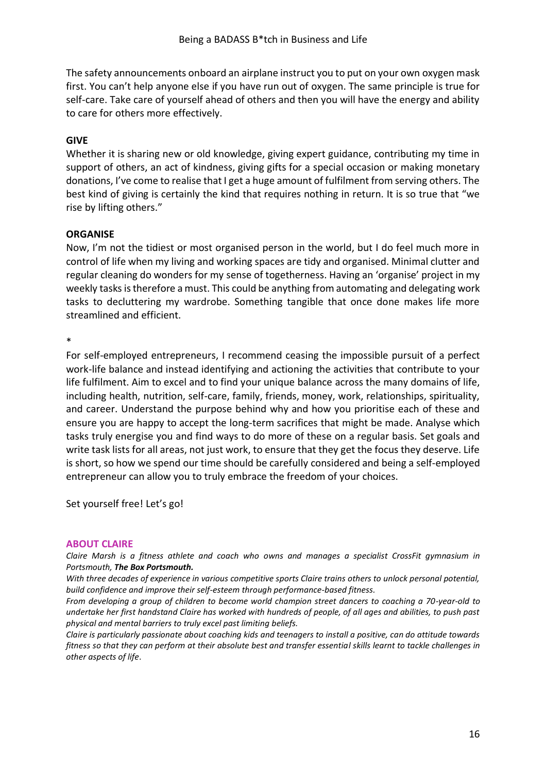The safety announcements onboard an airplane instruct you to put on your own oxygen mask first. You can't help anyone else if you have run out of oxygen. The same principle is true for self-care. Take care of yourself ahead of others and then you will have the energy and ability to care for others more effectively.

#### **GIVE**

Whether it is sharing new or old knowledge, giving expert guidance, contributing my time in support of others, an act of kindness, giving gifts for a special occasion or making monetary donations, I've come to realise that I get a huge amount of fulfilment from serving others. The best kind of giving is certainly the kind that requires nothing in return. It is so true that "we rise by lifting others."

### **ORGANISE**

Now, I'm not the tidiest or most organised person in the world, but I do feel much more in control of life when my living and working spaces are tidy and organised. Minimal clutter and regular cleaning do wonders for my sense of togetherness. Having an 'organise' project in my weekly tasks is therefore a must. This could be anything from automating and delegating work tasks to decluttering my wardrobe. Something tangible that once done makes life more streamlined and efficient.

\*

For self-employed entrepreneurs, I recommend ceasing the impossible pursuit of a perfect work-life balance and instead identifying and actioning the activities that contribute to your life fulfilment. Aim to excel and to find your unique balance across the many domains of life, including health, nutrition, self-care, family, friends, money, work, relationships, spirituality, and career. Understand the purpose behind why and how you prioritise each of these and ensure you are happy to accept the long-term sacrifices that might be made. Analyse which tasks truly energise you and find ways to do more of these on a regular basis. Set goals and write task lists for all areas, not just work, to ensure that they get the focus they deserve. Life is short, so how we spend our time should be carefully considered and being a self-employed entrepreneur can allow you to truly embrace the freedom of your choices.

Set yourself free! Let's go!

#### **ABOUT CLAIRE**

*Claire Marsh is a fitness athlete and coach who owns and manages a specialist CrossFit gymnasium in Portsmouth, The Box Portsmouth.*

*With three decades of experience in various competitive sports Claire trains others to unlock personal potential, build confidence and improve their self-esteem through performance-based fitness.*

*From developing a group of children to become world champion street dancers to coaching a 70-year-old to undertake her first handstand Claire has worked with hundreds of people, of all ages and abilities, to push past physical and mental barriers to truly excel past limiting beliefs.*

*Claire is particularly passionate about coaching kids and teenagers to install a positive, can do attitude towards fitness so that they can perform at their absolute best and transfer essential skills learnt to tackle challenges in other aspects of life*.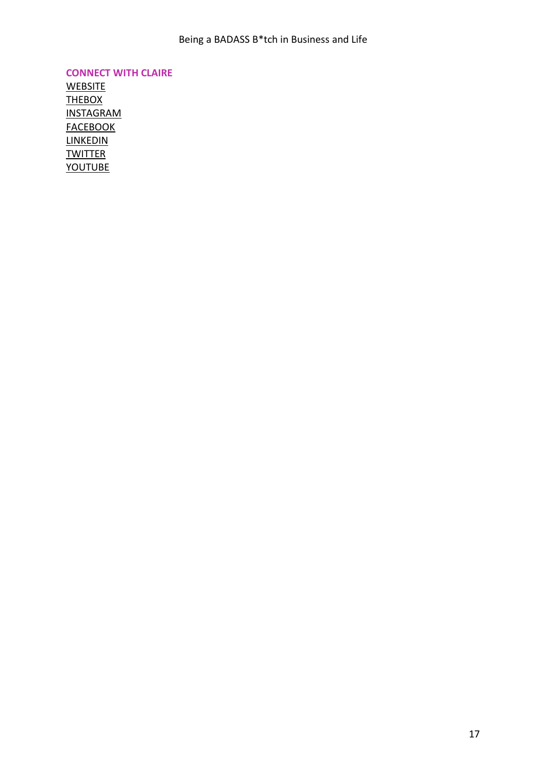**CONNECT WITH CLAIRE**

**WEBSITE [THEBOX](http://www.theboxportsmouth.com/)** [INSTAGRAM](https://www.instagram.com/clairemarsh.uk)  **[FACEBOOK](https://www.facebook.com/claire.hamer.50) LINKEDIN [TWITTER](https://twitter.com/clairemarshuk)** [YOUTUBE](https://www.youtube.com/channel/UCIrTOG_03tJbn7cRwR5-qcg)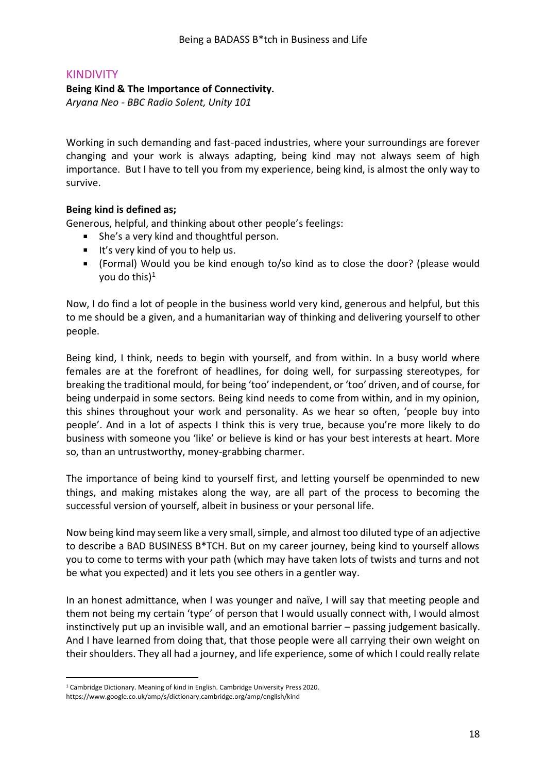### <span id="page-17-0"></span>KINDIVITY

#### **Being Kind & The Importance of Connectivity.**

*Aryana Neo - BBC Radio Solent, Unity 101*

Working in such demanding and fast-paced industries, where your surroundings are forever changing and your work is always adapting, being kind may not always seem of high importance. But I have to tell you from my experience, being kind, is almost the only way to survive.

### **Being kind is defined as;**

Generous, helpful, and thinking about other people's feelings:

- She's a very kind and thoughtful person.
- It's very kind of you to help us.
- (Formal) Would you be kind enough to/so kind as to close the door? (please would you do this) $1$

Now, I do find a lot of people in the business world very kind, generous and helpful, but this to me should be a given, and a humanitarian way of thinking and delivering yourself to other people.

Being kind, I think, needs to begin with yourself, and from within. In a busy world where females are at the forefront of headlines, for doing well, for surpassing stereotypes, for breaking the traditional mould, for being 'too' independent, or 'too' driven, and of course, for being underpaid in some sectors. Being kind needs to come from within, and in my opinion, this shines throughout your work and personality. As we hear so often, 'people buy into people'. And in a lot of aspects I think this is very true, because you're more likely to do business with someone you 'like' or believe is kind or has your best interests at heart. More so, than an untrustworthy, money-grabbing charmer.

The importance of being kind to yourself first, and letting yourself be openminded to new things, and making mistakes along the way, are all part of the process to becoming the successful version of yourself, albeit in business or your personal life.

Now being kind may seem like a very small, simple, and almost too diluted type of an adjective to describe a BAD BUSINESS B\*TCH. But on my career journey, being kind to yourself allows you to come to terms with your path (which may have taken lots of twists and turns and not be what you expected) and it lets you see others in a gentler way.

In an honest admittance, when I was younger and naïve, I will say that meeting people and them not being my certain 'type' of person that I would usually connect with, I would almost instinctively put up an invisible wall, and an emotional barrier – passing judgement basically. And I have learned from doing that, that those people were all carrying their own weight on their shoulders. They all had a journey, and life experience, some of which I could really relate

<sup>1</sup> Cambridge Dictionary. Meaning of kind in English. Cambridge University Press 2020. https://www.google.co.uk/amp/s/dictionary.cambridge.org/amp/english/kind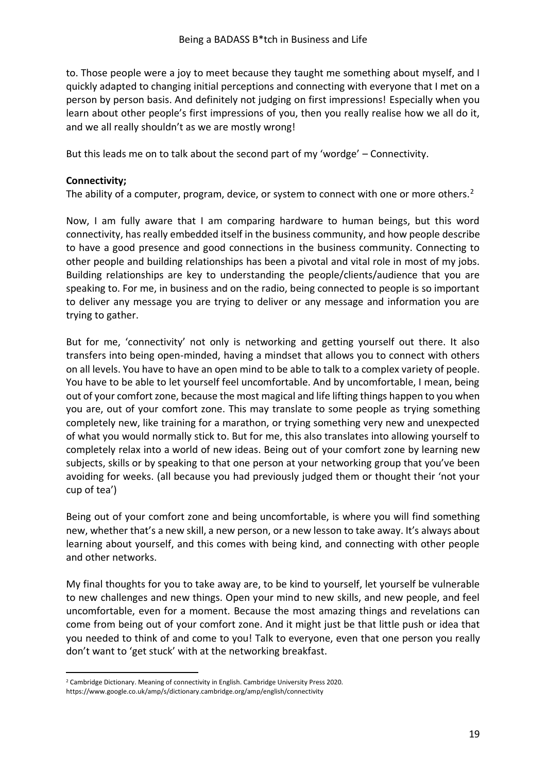to. Those people were a joy to meet because they taught me something about myself, and I quickly adapted to changing initial perceptions and connecting with everyone that I met on a person by person basis. And definitely not judging on first impressions! Especially when you learn about other people's first impressions of you, then you really realise how we all do it, and we all really shouldn't as we are mostly wrong!

But this leads me on to talk about the second part of my 'wordge' – Connectivity.

### **Connectivity;**

The ability of a computer, program, device, or system to connect with one or more others.<sup>2</sup>

Now, I am fully aware that I am comparing hardware to human beings, but this word connectivity, has really embedded itself in the business community, and how people describe to have a good presence and good connections in the business community. Connecting to other people and building relationships has been a pivotal and vital role in most of my jobs. Building relationships are key to understanding the people/clients/audience that you are speaking to. For me, in business and on the radio, being connected to people is so important to deliver any message you are trying to deliver or any message and information you are trying to gather.

But for me, 'connectivity' not only is networking and getting yourself out there. It also transfers into being open-minded, having a mindset that allows you to connect with others on all levels. You have to have an open mind to be able to talk to a complex variety of people. You have to be able to let yourself feel uncomfortable. And by uncomfortable, I mean, being out of your comfort zone, because the most magical and life lifting things happen to you when you are, out of your comfort zone. This may translate to some people as trying something completely new, like training for a marathon, or trying something very new and unexpected of what you would normally stick to. But for me, this also translates into allowing yourself to completely relax into a world of new ideas. Being out of your comfort zone by learning new subjects, skills or by speaking to that one person at your networking group that you've been avoiding for weeks. (all because you had previously judged them or thought their 'not your cup of tea')

Being out of your comfort zone and being uncomfortable, is where you will find something new, whether that's a new skill, a new person, or a new lesson to take away. It's always about learning about yourself, and this comes with being kind, and connecting with other people and other networks.

My final thoughts for you to take away are, to be kind to yourself, let yourself be vulnerable to new challenges and new things. Open your mind to new skills, and new people, and feel uncomfortable, even for a moment. Because the most amazing things and revelations can come from being out of your comfort zone. And it might just be that little push or idea that you needed to think of and come to you! Talk to everyone, even that one person you really don't want to 'get stuck' with at the networking breakfast.

<sup>&</sup>lt;sup>2</sup> Cambridge Dictionary. Meaning of connectivity in English. Cambridge University Press 2020. https://www.google.co.uk/amp/s/dictionary.cambridge.org/amp/english/connectivity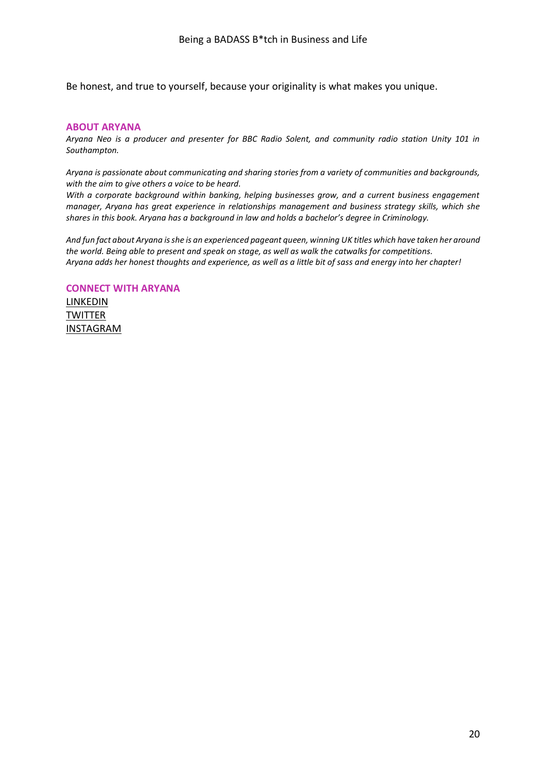Be honest, and true to yourself, because your originality is what makes you unique.

#### **ABOUT ARYANA**

*Aryana Neo is a producer and presenter for BBC Radio Solent, and community radio station Unity 101 in Southampton.*

*Aryana is passionate about communicating and sharing stories from a variety of communities and backgrounds, with the aim to give others a voice to be heard.*

*With a corporate background within banking, helping businesses grow, and a current business engagement manager, Aryana has great experience in relationships management and business strategy skills, which she shares in this book. Aryana has a background in law and holds a bachelor's degree in Criminology.*

*And fun fact about Aryana is she is an experienced pageant queen, winning UK titles which have taken her around the world. Being able to present and speak on stage, as well as walk the catwalks for competitions. Aryana adds her honest thoughts and experience, as well as a little bit of sass and energy into her chapter!*

#### **CONNECT WITH ARYANA**

[LINKEDIN](https://www.linkedin.com/in/aryana-neo-671a5842/) **[TWITTER](https://twitter.com/aryananeo)** [INSTAGRAM](https://www.instagram.com/aryanapresenter/)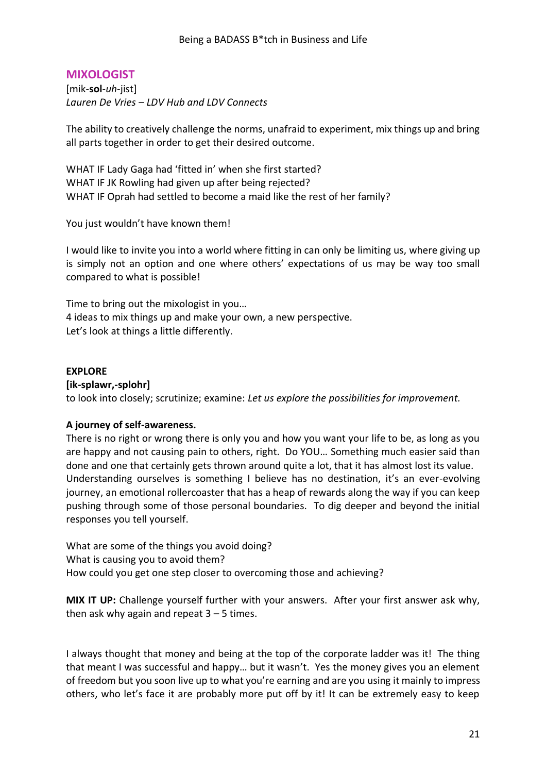# <span id="page-20-0"></span>**MIXOLOGIST**

[mik-**sol**-*uh*-jist] *Lauren De Vries – LDV Hub and LDV Connects*

The ability to creatively challenge the norms, unafraid to experiment, mix things up and bring all parts together in order to get their desired outcome.

WHAT IF Lady Gaga had 'fitted in' when she first started? WHAT IF JK Rowling had given up after being rejected? WHAT IF Oprah had settled to become a maid like the rest of her family?

You just wouldn't have known them!

I would like to invite you into a world where fitting in can only be limiting us, where giving up is simply not an option and one where others' expectations of us may be way too small compared to what is possible!

Time to bring out the mixologist in you… 4 ideas to mix things up and make your own, a new perspective. Let's look at things a little differently.

### **EXPLORE**

#### **[ik-splawr,-splohr]**

to look into closely; scrutinize; examine: *Let us explore the possibilities for improvement.*

#### **A journey of self-awareness.**

There is no right or wrong there is only you and how you want your life to be, as long as you are happy and not causing pain to others, right. Do YOU… Something much easier said than done and one that certainly gets thrown around quite a lot, that it has almost lost its value. Understanding ourselves is something I believe has no destination, it's an ever-evolving journey, an emotional rollercoaster that has a heap of rewards along the way if you can keep pushing through some of those personal boundaries. To dig deeper and beyond the initial responses you tell yourself.

What are some of the things you avoid doing? What is causing you to avoid them? How could you get one step closer to overcoming those and achieving?

**MIX IT UP:** Challenge yourself further with your answers. After your first answer ask why, then ask why again and repeat  $3 - 5$  times.

I always thought that money and being at the top of the corporate ladder was it! The thing that meant I was successful and happy… but it wasn't. Yes the money gives you an element of freedom but you soon live up to what you're earning and are you using it mainly to impress others, who let's face it are probably more put off by it! It can be extremely easy to keep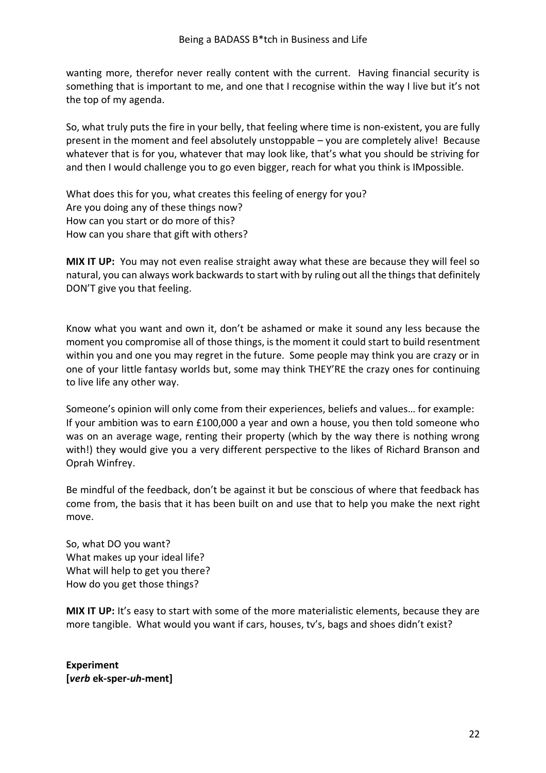wanting more, therefor never really content with the current. Having financial security is something that is important to me, and one that I recognise within the way I live but it's not the top of my agenda.

So, what truly puts the fire in your belly, that feeling where time is non-existent, you are fully present in the moment and feel absolutely unstoppable – you are completely alive! Because whatever that is for you, whatever that may look like, that's what you should be striving for and then I would challenge you to go even bigger, reach for what you think is IMpossible.

What does this for you, what creates this feeling of energy for you? Are you doing any of these things now? How can you start or do more of this? How can you share that gift with others?

**MIX IT UP:** You may not even realise straight away what these are because they will feel so natural, you can always work backwards to start with by ruling out all the things that definitely DON'T give you that feeling.

Know what you want and own it, don't be ashamed or make it sound any less because the moment you compromise all of those things, is the moment it could start to build resentment within you and one you may regret in the future. Some people may think you are crazy or in one of your little fantasy worlds but, some may think THEY'RE the crazy ones for continuing to live life any other way.

Someone's opinion will only come from their experiences, beliefs and values… for example: If your ambition was to earn £100,000 a year and own a house, you then told someone who was on an average wage, renting their property (which by the way there is nothing wrong with!) they would give you a very different perspective to the likes of Richard Branson and Oprah Winfrey.

Be mindful of the feedback, don't be against it but be conscious of where that feedback has come from, the basis that it has been built on and use that to help you make the next right move.

So, what DO you want? What makes up your ideal life? What will help to get you there? How do you get those things?

**MIX IT UP:** It's easy to start with some of the more materialistic elements, because they are more tangible. What would you want if cars, houses, tv's, bags and shoes didn't exist?

**Experiment [***verb* **ek-sper-***uh***-ment]**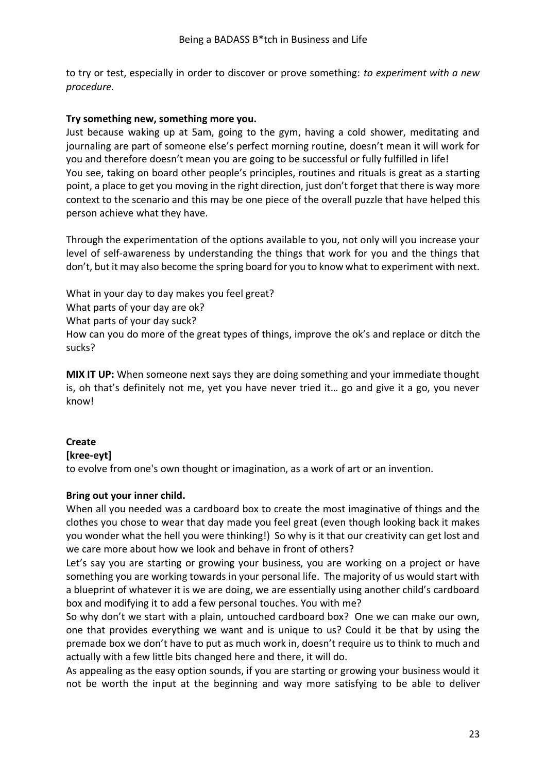to try or test, especially in order to discover or prove something: *to experiment with a new procedure.*

### **Try something new, something more you.**

Just because waking up at 5am, going to the gym, having a cold shower, meditating and journaling are part of someone else's perfect morning routine, doesn't mean it will work for you and therefore doesn't mean you are going to be successful or fully fulfilled in life! You see, taking on board other people's principles, routines and rituals is great as a starting point, a place to get you moving in the right direction, just don't forget that there is way more context to the scenario and this may be one piece of the overall puzzle that have helped this person achieve what they have.

Through the experimentation of the options available to you, not only will you increase your level of self-awareness by understanding the things that work for you and the things that don't, but it may also become the spring board for you to know what to experiment with next.

What in your day to day makes you feel great?

What parts of your day are ok?

What parts of your day suck?

How can you do more of the great types of things, improve the ok's and replace or ditch the sucks?

**MIX IT UP:** When someone next says they are doing something and your immediate thought is, oh that's definitely not me, yet you have never tried it… go and give it a go, you never know!

### **Create**

#### **[kree-eyt]**

to evolve from one's own thought or imagination, as a work of art or an invention.

### **Bring out your inner child.**

When all you needed was a cardboard box to create the most imaginative of things and the clothes you chose to wear that day made you feel great (even though looking back it makes you wonder what the hell you were thinking!) So why is it that our creativity can get lost and we care more about how we look and behave in front of others?

Let's say you are starting or growing your business, you are working on a project or have something you are working towards in your personal life. The majority of us would start with a blueprint of whatever it is we are doing, we are essentially using another child's cardboard box and modifying it to add a few personal touches. You with me?

So why don't we start with a plain, untouched cardboard box? One we can make our own, one that provides everything we want and is unique to us? Could it be that by using the premade box we don't have to put as much work in, doesn't require us to think to much and actually with a few little bits changed here and there, it will do.

As appealing as the easy option sounds, if you are starting or growing your business would it not be worth the input at the beginning and way more satisfying to be able to deliver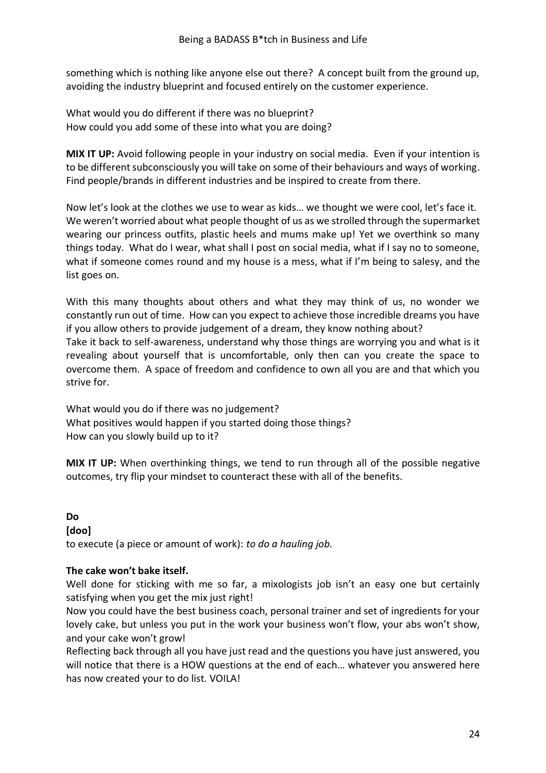something which is nothing like anyone else out there? A concept built from the ground up, avoiding the industry blueprint and focused entirely on the customer experience.

What would you do different if there was no blueprint? How could you add some of these into what you are doing?

**MIX IT UP:** Avoid following people in your industry on social media. Even if your intention is to be different subconsciously you will take on some of their behaviours and ways of working. Find people/brands in different industries and be inspired to create from there.

Now let's look at the clothes we use to wear as kids… we thought we were cool, let's face it. We weren't worried about what people thought of us as we strolled through the supermarket wearing our princess outfits, plastic heels and mums make up! Yet we overthink so many things today. What do I wear, what shall I post on social media, what if I say no to someone, what if someone comes round and my house is a mess, what if I'm being to salesy, and the list goes on.

With this many thoughts about others and what they may think of us, no wonder we constantly run out of time. How can you expect to achieve those incredible dreams you have if you allow others to provide judgement of a dream, they know nothing about? Take it back to self-awareness, understand why those things are worrying you and what is it revealing about yourself that is uncomfortable, only then can you create the space to overcome them. A space of freedom and confidence to own all you are and that which you strive for.

What would you do if there was no judgement? What positives would happen if you started doing those things? How can you slowly build up to it?

**MIX IT UP:** When overthinking things, we tend to run through all of the possible negative outcomes, try flip your mindset to counteract these with all of the benefits.

### **Do**

#### **[doo]**

to execute (a piece or amount of work): *to do a hauling job.*

### **The cake won't bake itself.**

Well done for sticking with me so far, a mixologists job isn't an easy one but certainly satisfying when you get the mix just right!

Now you could have the best business coach, personal trainer and set of ingredients for your lovely cake, but unless you put in the work your business won't flow, your abs won't show, and your cake won't grow!

Reflecting back through all you have just read and the questions you have just answered, you will notice that there is a HOW questions at the end of each… whatever you answered here has now created your to do list. VOILA!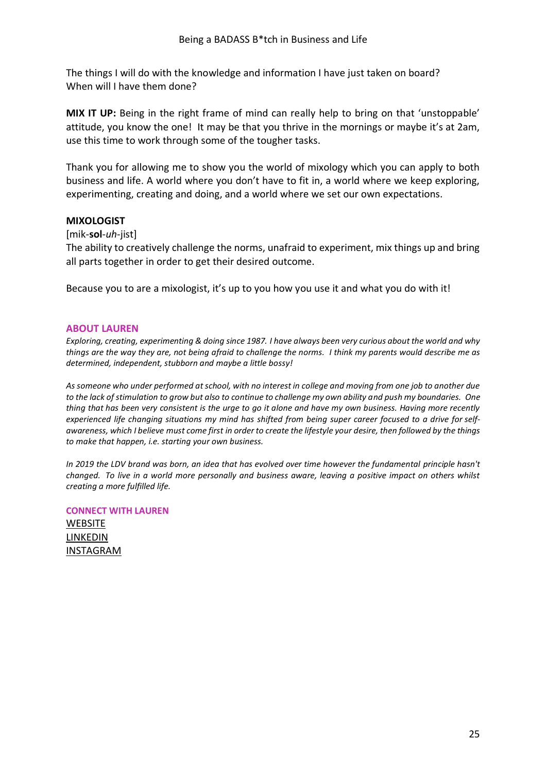The things I will do with the knowledge and information I have just taken on board? When will I have them done?

**MIX IT UP:** Being in the right frame of mind can really help to bring on that 'unstoppable' attitude, you know the one! It may be that you thrive in the mornings or maybe it's at 2am, use this time to work through some of the tougher tasks.

Thank you for allowing me to show you the world of mixology which you can apply to both business and life. A world where you don't have to fit in, a world where we keep exploring, experimenting, creating and doing, and a world where we set our own expectations.

#### **MIXOLOGIST**

[mik-**sol**-*uh*-jist]

The ability to creatively challenge the norms, unafraid to experiment, mix things up and bring all parts together in order to get their desired outcome.

Because you to are a mixologist, it's up to you how you use it and what you do with it!

#### **ABOUT LAUREN**

*Exploring, creating, experimenting & doing since 1987. I have always been very curious about the world and why things are the way they are, not being afraid to challenge the norms. I think my parents would describe me as determined, independent, stubborn and maybe a little bossy!*

*As someone who under performed at school, with no interest in college and moving from one job to another due to the lack of stimulation to grow but also to continue to challenge my own ability and push my boundaries. One thing that has been very consistent is the urge to go it alone and have my own business. Having more recently experienced life changing situations my mind has shifted from being super career focused to a drive for selfawareness, which I believe must come first in order to create the lifestyle your desire, then followed by the things to make that happen, i.e. starting your own business.*

*In 2019 the LDV brand was born, an idea that has evolved over time however the fundamental principle hasn't changed. To live in a world more personally and business aware, leaving a positive impact on others whilst creating a more fulfilled life.*

**CONNECT WITH LAUREN** [WEBSITE](https://www.ldvhub.com/) [LINKEDIN](https://www.linkedin.com/in/ldv-lauren-de-vries-154a6352) [INSTAGRAM](https://www.instagram.com/ldvhub/)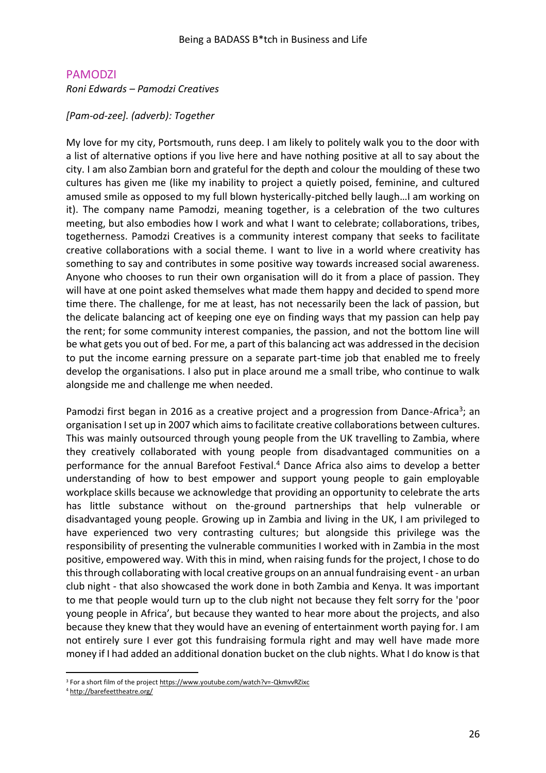### <span id="page-25-0"></span>PAMODZI

*Roni Edwards – Pamodzi Creatives* 

*[Pam-od-zee]. (adverb): Together*

My love for my city, Portsmouth, runs deep. I am likely to politely walk you to the door with a list of alternative options if you live here and have nothing positive at all to say about the city. I am also Zambian born and grateful for the depth and colour the moulding of these two cultures has given me (like my inability to project a quietly poised, feminine, and cultured amused smile as opposed to my full blown hysterically-pitched belly laugh…I am working on it). The company name Pamodzi, meaning together, is a celebration of the two cultures meeting, but also embodies how I work and what I want to celebrate; collaborations, tribes, togetherness. Pamodzi Creatives is a community interest company that seeks to facilitate creative collaborations with a social theme. I want to live in a world where creativity has something to say and contributes in some positive way towards increased social awareness. Anyone who chooses to run their own organisation will do it from a place of passion. They will have at one point asked themselves what made them happy and decided to spend more time there. The challenge, for me at least, has not necessarily been the lack of passion, but the delicate balancing act of keeping one eye on finding ways that my passion can help pay the rent; for some community interest companies, the passion, and not the bottom line will be what gets you out of bed. For me, a part of this balancing act was addressed in the decision to put the income earning pressure on a separate part-time job that enabled me to freely develop the organisations. I also put in place around me a small tribe, who continue to walk alongside me and challenge me when needed.

Pamodzi first began in 2016 as a creative project and a progression from Dance-Africa<sup>3</sup>; an organisation I set up in 2007 which aims to facilitate creative collaborations between cultures. This was mainly outsourced through young people from the UK travelling to Zambia, where they creatively collaborated with young people from disadvantaged communities on a performance for the annual Barefoot Festival.<sup>4</sup> Dance Africa also aims to develop a better understanding of how to best empower and support young people to gain employable workplace skills because we acknowledge that providing an opportunity to celebrate the arts has little substance without on the-ground partnerships that help vulnerable or disadvantaged young people. Growing up in Zambia and living in the UK, I am privileged to have experienced two very contrasting cultures; but alongside this privilege was the responsibility of presenting the vulnerable communities I worked with in Zambia in the most positive, empowered way. With this in mind, when raising funds for the project, I chose to do this through collaborating with local creative groups on an annual fundraising event - an urban club night - that also showcased the work done in both Zambia and Kenya. It was important to me that people would turn up to the club night not because they felt sorry for the 'poor young people in Africa', but because they wanted to hear more about the projects, and also because they knew that they would have an evening of entertainment worth paying for. I am not entirely sure I ever got this fundraising formula right and may well have made more money if I had added an additional donation bucket on the club nights. What I do know is that

<sup>&</sup>lt;sup>3</sup> For a short film of the project https://www.youtube.com/watch?v=-QkmvvRZixc

<sup>4</sup> <http://barefeettheatre.org/>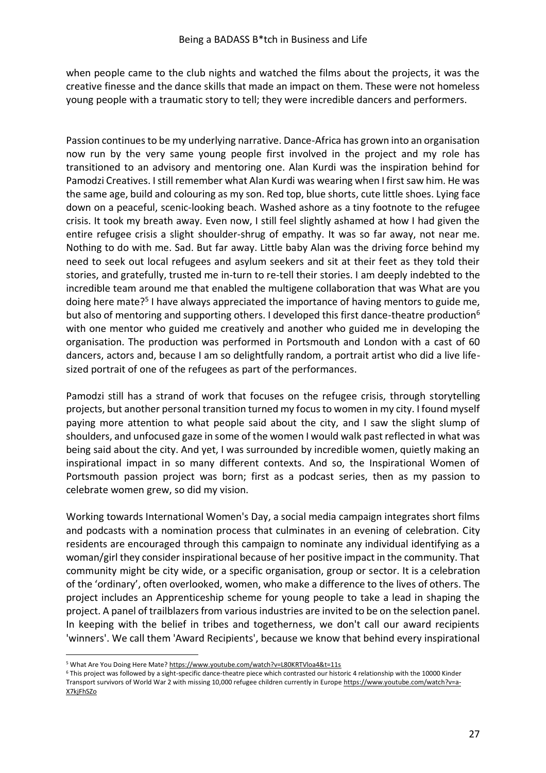when people came to the club nights and watched the films about the projects, it was the creative finesse and the dance skills that made an impact on them. These were not homeless young people with a traumatic story to tell; they were incredible dancers and performers.

Passion continues to be my underlying narrative. Dance-Africa has grown into an organisation now run by the very same young people first involved in the project and my role has transitioned to an advisory and mentoring one. Alan Kurdi was the inspiration behind for Pamodzi Creatives. Istill remember what Alan Kurdi was wearing when I first saw him. He was the same age, build and colouring as my son. Red top, blue shorts, cute little shoes. Lying face down on a peaceful, scenic-looking beach. Washed ashore as a tiny footnote to the refugee crisis. It took my breath away. Even now, I still feel slightly ashamed at how I had given the entire refugee crisis a slight shoulder-shrug of empathy. It was so far away, not near me. Nothing to do with me. Sad. But far away. Little baby Alan was the driving force behind my need to seek out local refugees and asylum seekers and sit at their feet as they told their stories, and gratefully, trusted me in-turn to re-tell their stories. I am deeply indebted to the incredible team around me that enabled the multigene collaboration that was What are you doing here mate?<sup>5</sup> I have always appreciated the importance of having mentors to guide me, but also of mentoring and supporting others. I developed this first dance-theatre production<sup>6</sup> with one mentor who guided me creatively and another who guided me in developing the organisation. The production was performed in Portsmouth and London with a cast of 60 dancers, actors and, because I am so delightfully random, a portrait artist who did a live lifesized portrait of one of the refugees as part of the performances.

Pamodzi still has a strand of work that focuses on the refugee crisis, through storytelling projects, but another personal transition turned my focus to women in my city. I found myself paying more attention to what people said about the city, and I saw the slight slump of shoulders, and unfocused gaze in some of the women I would walk past reflected in what was being said about the city. And yet, I was surrounded by incredible women, quietly making an inspirational impact in so many different contexts. And so, the Inspirational Women of Portsmouth passion project was born; first as a podcast series, then as my passion to celebrate women grew, so did my vision.

Working towards International Women's Day, a social media campaign integrates short films and podcasts with a nomination process that culminates in an evening of celebration. City residents are encouraged through this campaign to nominate any individual identifying as a woman/girl they consider inspirational because of her positive impact in the community. That community might be city wide, or a specific organisation, group or sector. It is a celebration of the 'ordinary', often overlooked, women, who make a difference to the lives of others. The project includes an Apprenticeship scheme for young people to take a lead in shaping the project. A panel of trailblazers from various industries are invited to be on the selection panel. In keeping with the belief in tribes and togetherness, we don't call our award recipients 'winners'. We call them 'Award Recipients', because we know that behind every inspirational

<sup>5</sup> What Are You Doing Here Mate[? https://www.youtube.com/watch?v=L80KRTVloa4&t=11s](https://www.youtube.com/watch?v=L80KRTVloa4&t=11s)

<sup>6</sup> This project was followed by a sight-specific dance-theatre piece which contrasted our historic 4 relationship with the 10000 Kinder Transport survivors of World War 2 with missing 10,000 refugee children currently in Europ[e https://www.youtube.com/watch?v=a-](https://www.youtube.com/watch?v=a-X7kjFhSZo)[X7kjFhSZo](https://www.youtube.com/watch?v=a-X7kjFhSZo)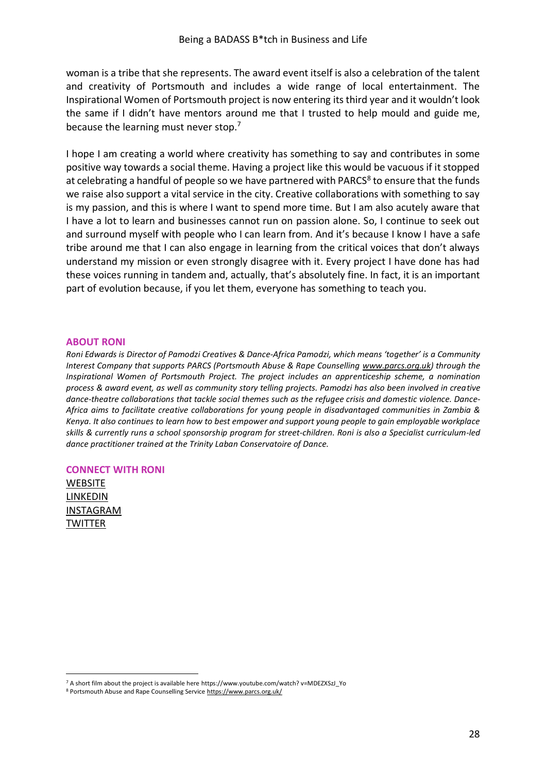woman is a tribe that she represents. The award event itself is also a celebration of the talent and creativity of Portsmouth and includes a wide range of local entertainment. The Inspirational Women of Portsmouth project is now entering its third year and it wouldn't look the same if I didn't have mentors around me that I trusted to help mould and guide me, because the learning must never stop.<sup>7</sup>

I hope I am creating a world where creativity has something to say and contributes in some positive way towards a social theme. Having a project like this would be vacuous if it stopped at celebrating a handful of people so we have partnered with PARCS<sup>8</sup> to ensure that the funds we raise also support a vital service in the city. Creative collaborations with something to say is my passion, and this is where I want to spend more time. But I am also acutely aware that I have a lot to learn and businesses cannot run on passion alone. So, I continue to seek out and surround myself with people who I can learn from. And it's because I know I have a safe tribe around me that I can also engage in learning from the critical voices that don't always understand my mission or even strongly disagree with it. Every project I have done has had these voices running in tandem and, actually, that's absolutely fine. In fact, it is an important part of evolution because, if you let them, everyone has something to teach you.

#### **ABOUT RONI**

*Roni Edwards is Director of Pamodzi Creatives & Dance-Africa Pamodzi, which means 'together' is a Community Interest Company that supports PARCS (Portsmouth Abuse & Rape Counselling [www.parcs.org.uk\)](http://www.parcs.org.uk/) through the Inspirational Women of Portsmouth Project. The project includes an apprenticeship scheme, a nomination process & award event, as well as community story telling projects. Pamodzi has also been involved in creative dance-theatre collaborations that tackle social themes such as the refugee crisis and domestic violence. Dance-Africa aims to facilitate creative collaborations for young people in disadvantaged communities in Zambia & Kenya. It also continues to learn how to best empower and support young people to gain employable workplace skills & currently runs a school sponsorship program for street-children. Roni is also a Specialist curriculum-led dance practitioner trained at the Trinity Laban Conservatoire of Dance.* 

#### **CONNECT WITH RONI**

**[WEBSITE](https://pamodzicreatives.weebly.com/about-us.html)** [LINKEDIN](https://www.linkedin.com/in/roniedwards/) [INSTAGRAM](https://www.instagram.com/pamodzi_creatives/) **[TWITTER](https://twitter.com/PamodziCreateP)** 

<sup>7</sup> A short film about the project is available here https://www.youtube.com/watch? v=MDEZXSzJ\_Yo

<sup>8</sup> Portsmouth Abuse and Rape Counselling Servic[e https://www.parcs.org.uk/](https://www.parcs.org.uk/)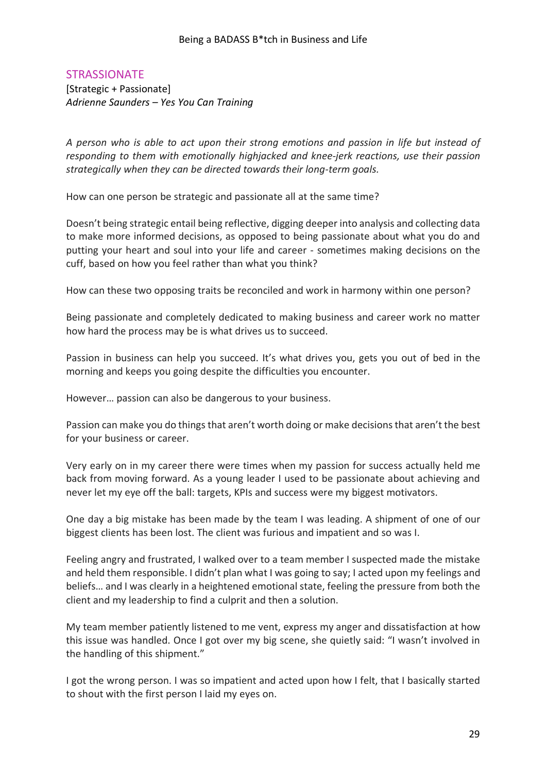# <span id="page-28-0"></span>**STRASSIONATE**

[Strategic + Passionate] *Adrienne Saunders – Yes You Can Training*

*A person who is able to act upon their strong emotions and passion in life but instead of responding to them with emotionally highjacked and knee-jerk reactions, use their passion strategically when they can be directed towards their long-term goals.*

How can one person be strategic and passionate all at the same time?

Doesn't being strategic entail being reflective, digging deeper into analysis and collecting data to make more informed decisions, as opposed to being passionate about what you do and putting your heart and soul into your life and career - sometimes making decisions on the cuff, based on how you feel rather than what you think?

How can these two opposing traits be reconciled and work in harmony within one person?

Being passionate and completely dedicated to making business and career work no matter how hard the process may be is what drives us to succeed.

Passion in business can help you succeed. It's what drives you, gets you out of bed in the morning and keeps you going despite the difficulties you encounter.

However… passion can also be dangerous to your business.

Passion can make you do things that aren't worth doing or make decisions that aren't the best for your business or career.

Very early on in my career there were times when my passion for success actually held me back from moving forward. As a young leader I used to be passionate about achieving and never let my eye off the ball: targets, KPIs and success were my biggest motivators.

One day a big mistake has been made by the team I was leading. A shipment of one of our biggest clients has been lost. The client was furious and impatient and so was I.

Feeling angry and frustrated, I walked over to a team member I suspected made the mistake and held them responsible. I didn't plan what I was going to say; I acted upon my feelings and beliefs… and I was clearly in a heightened emotional state, feeling the pressure from both the client and my leadership to find a culprit and then a solution.

My team member patiently listened to me vent, express my anger and dissatisfaction at how this issue was handled. Once I got over my big scene, she quietly said: "I wasn't involved in the handling of this shipment."

I got the wrong person. I was so impatient and acted upon how I felt, that I basically started to shout with the first person I laid my eyes on.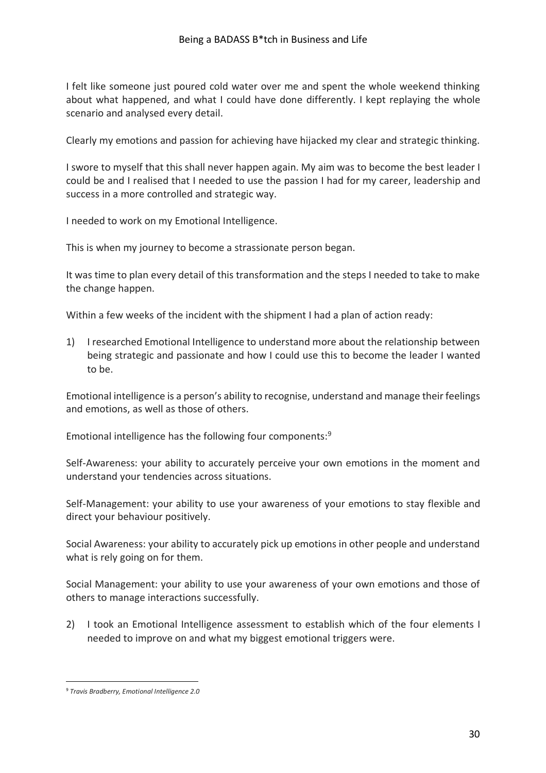I felt like someone just poured cold water over me and spent the whole weekend thinking about what happened, and what I could have done differently. I kept replaying the whole scenario and analysed every detail.

Clearly my emotions and passion for achieving have hijacked my clear and strategic thinking.

I swore to myself that this shall never happen again. My aim was to become the best leader I could be and I realised that I needed to use the passion I had for my career, leadership and success in a more controlled and strategic way.

I needed to work on my Emotional Intelligence.

This is when my journey to become a strassionate person began.

It was time to plan every detail of this transformation and the steps I needed to take to make the change happen.

Within a few weeks of the incident with the shipment I had a plan of action ready:

1) I researched Emotional Intelligence to understand more about the relationship between being strategic and passionate and how I could use this to become the leader I wanted to be.

Emotional intelligence is a person's ability to recognise, understand and manage their feelings and emotions, as well as those of others.

Emotional intelligence has the following four components: 9

Self-Awareness: your ability to accurately perceive your own emotions in the moment and understand your tendencies across situations.

Self-Management: your ability to use your awareness of your emotions to stay flexible and direct your behaviour positively.

Social Awareness: your ability to accurately pick up emotions in other people and understand what is rely going on for them.

Social Management: your ability to use your awareness of your own emotions and those of others to manage interactions successfully.

2) I took an Emotional Intelligence assessment to establish which of the four elements I needed to improve on and what my biggest emotional triggers were.

<sup>9</sup> *Travis Bradberry, Emotional Intelligence 2.0*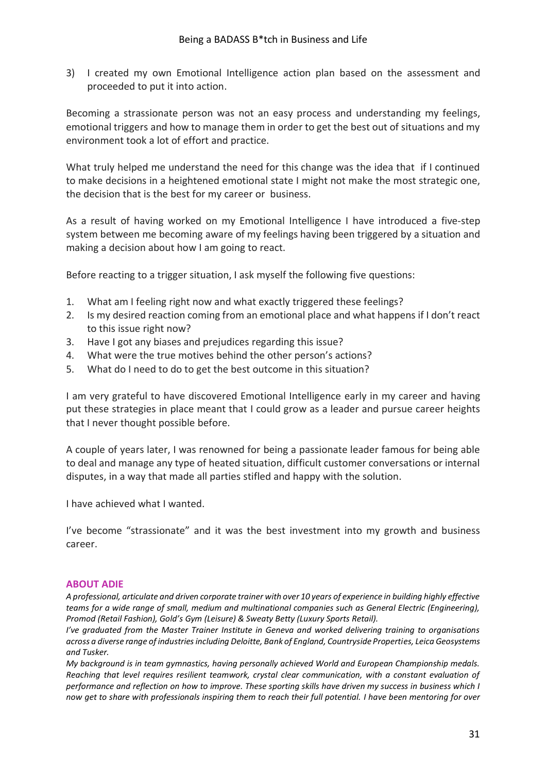3) I created my own Emotional Intelligence action plan based on the assessment and proceeded to put it into action.

Becoming a strassionate person was not an easy process and understanding my feelings, emotional triggers and how to manage them in order to get the best out of situations and my environment took a lot of effort and practice.

What truly helped me understand the need for this change was the idea that if I continued to make decisions in a heightened emotional state I might not make the most strategic one, the decision that is the best for my career or business.

As a result of having worked on my Emotional Intelligence I have introduced a five-step system between me becoming aware of my feelings having been triggered by a situation and making a decision about how I am going to react.

Before reacting to a trigger situation, I ask myself the following five questions:

- 1. What am I feeling right now and what exactly triggered these feelings?
- 2. Is my desired reaction coming from an emotional place and what happens if I don't react to this issue right now?
- 3. Have I got any biases and prejudices regarding this issue?
- 4. What were the true motives behind the other person's actions?
- 5. What do I need to do to get the best outcome in this situation?

I am very grateful to have discovered Emotional Intelligence early in my career and having put these strategies in place meant that I could grow as a leader and pursue career heights that I never thought possible before.

A couple of years later, I was renowned for being a passionate leader famous for being able to deal and manage any type of heated situation, difficult customer conversations or internal disputes, in a way that made all parties stifled and happy with the solution.

I have achieved what I wanted.

I've become "strassionate" and it was the best investment into my growth and business career.

#### **ABOUT ADIE**

*A professional, articulate and driven corporate trainer with over 10 years of experience in building highly effective teams for a wide range of small, medium and multinational companies such as General Electric (Engineering), Promod (Retail Fashion), Gold's Gym (Leisure) & Sweaty Betty (Luxury Sports Retail).*

*I've graduated from the Master Trainer Institute in Geneva and worked delivering training to organisations across a diverse range of industries including Deloitte, Bank of England, Countryside Properties, Leica Geosystems and Tusker.*

*My background is in team gymnastics, having personally achieved World and European Championship medals. Reaching that level requires resilient teamwork, crystal clear communication, with a constant evaluation of performance and reflection on how to improve. These sporting skills have driven my success in business which I now get to share with professionals inspiring them to reach their full potential. I have been mentoring for over*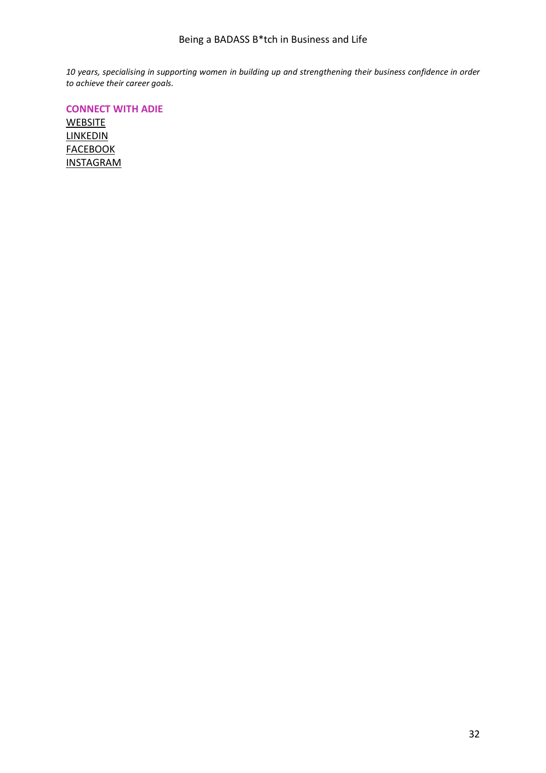*10 years, specialising in supporting women in building up and strengthening their business confidence in order to achieve their career goals.*

**CONNECT WITH ADIE**

**[WEBSITE](https://www.yyctraining.com/)** [LINKEDIN](https://www.linkedin.com/in/adiesaunders/) **[FACEBOOK](https://www.facebook.com/yesyoucan.training/)** [INSTAGRAM](https://www.instagram.com/yes_you_can_training/)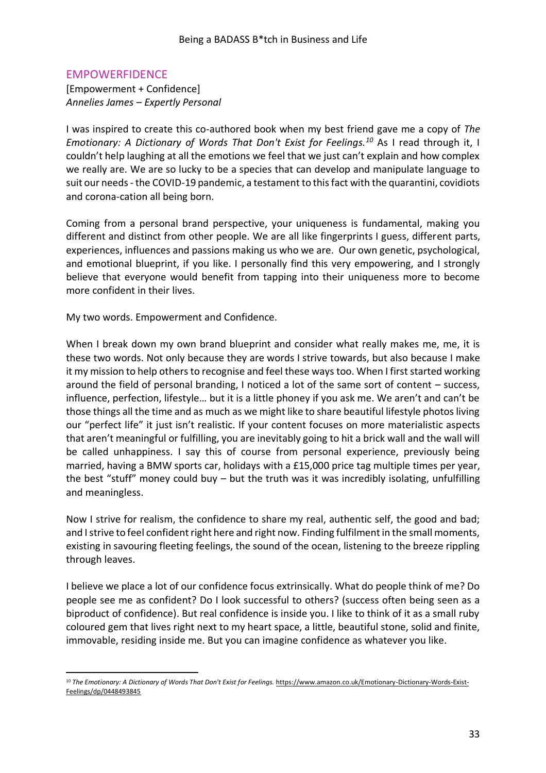# <span id="page-32-0"></span>EMPOWERFIDENCE

[Empowerment + Confidence] *Annelies James – Expertly Personal*

I was inspired to create this co-authored book when my best friend gave me a copy of *The Emotionary: A Dictionary of Words That Don't Exist for Feelings.<sup>10</sup>* As I read through it, I couldn't help laughing at all the emotions we feel that we just can't explain and how complex we really are. We are so lucky to be a species that can develop and manipulate language to suit our needs - the COVID-19 pandemic, a testament to this fact with the quarantini, covidiots and corona-cation all being born.

Coming from a personal brand perspective, your uniqueness is fundamental, making you different and distinct from other people. We are all like fingerprints I guess, different parts, experiences, influences and passions making us who we are. Our own genetic, psychological, and emotional blueprint, if you like. I personally find this very empowering, and I strongly believe that everyone would benefit from tapping into their uniqueness more to become more confident in their lives.

My two words. Empowerment and Confidence.

When I break down my own brand blueprint and consider what really makes me, me, it is these two words. Not only because they are words I strive towards, but also because I make it my mission to help others to recognise and feel these ways too. When I first started working around the field of personal branding, I noticed a lot of the same sort of content – success, influence, perfection, lifestyle… but it is a little phoney if you ask me. We aren't and can't be those things all the time and as much as we might like to share beautiful lifestyle photos living our "perfect life" it just isn't realistic. If your content focuses on more materialistic aspects that aren't meaningful or fulfilling, you are inevitably going to hit a brick wall and the wall will be called unhappiness. I say this of course from personal experience, previously being married, having a BMW sports car, holidays with a £15,000 price tag multiple times per year, the best "stuff" money could buy – but the truth was it was incredibly isolating, unfulfilling and meaningless.

Now I strive for realism, the confidence to share my real, authentic self, the good and bad; and I strive to feel confident right here and right now. Finding fulfilment in the small moments, existing in savouring fleeting feelings, the sound of the ocean, listening to the breeze rippling through leaves.

I believe we place a lot of our confidence focus extrinsically. What do people think of me? Do people see me as confident? Do I look successful to others? (success often being seen as a biproduct of confidence). But real confidence is inside you. I like to think of it as a small ruby coloured gem that lives right next to my heart space, a little, beautiful stone, solid and finite, immovable, residing inside me. But you can imagine confidence as whatever you like.

<sup>&</sup>lt;sup>10</sup> The Emotionary: A Dictionary of Words That Don't Exist for Feelings. [https://www.amazon.co.uk/Emotionary-Dictionary-Words-Exist-](https://www.amazon.co.uk/Emotionary-Dictionary-Words-Exist-Feelings/dp/0448493845)[Feelings/dp/0448493845](https://www.amazon.co.uk/Emotionary-Dictionary-Words-Exist-Feelings/dp/0448493845)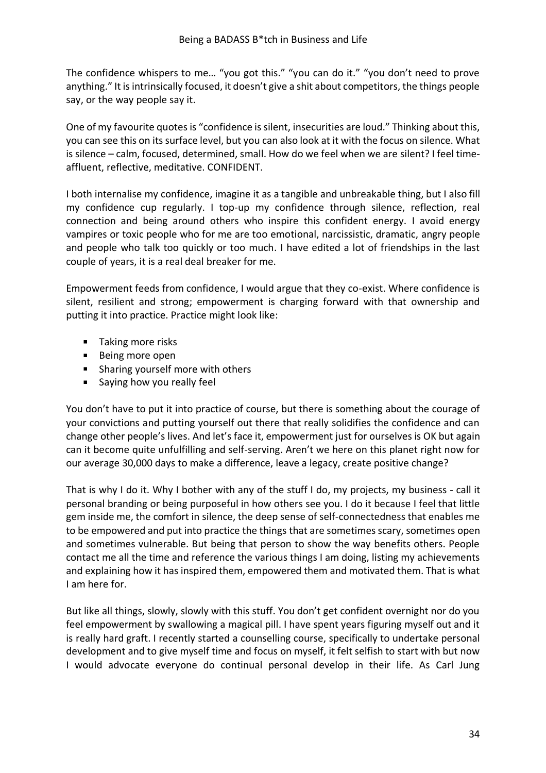The confidence whispers to me… "you got this." "you can do it." "you don't need to prove anything." It is intrinsically focused, it doesn't give a shit about competitors, the things people say, or the way people say it.

One of my favourite quotes is "confidence is silent, insecurities are loud." Thinking about this, you can see this on its surface level, but you can also look at it with the focus on silence. What is silence – calm, focused, determined, small. How do we feel when we are silent? I feel timeaffluent, reflective, meditative. CONFIDENT.

I both internalise my confidence, imagine it as a tangible and unbreakable thing, but I also fill my confidence cup regularly. I top-up my confidence through silence, reflection, real connection and being around others who inspire this confident energy. I avoid energy vampires or toxic people who for me are too emotional, narcissistic, dramatic, angry people and people who talk too quickly or too much. I have edited a lot of friendships in the last couple of years, it is a real deal breaker for me.

Empowerment feeds from confidence, I would argue that they co-exist. Where confidence is silent, resilient and strong; empowerment is charging forward with that ownership and putting it into practice. Practice might look like:

- **Taking more risks**
- **Being more open**
- **Sharing yourself more with others**
- **Saying how you really feel**

You don't have to put it into practice of course, but there is something about the courage of your convictions and putting yourself out there that really solidifies the confidence and can change other people's lives. And let's face it, empowerment just for ourselves is OK but again can it become quite unfulfilling and self-serving. Aren't we here on this planet right now for our average 30,000 days to make a difference, leave a legacy, create positive change?

That is why I do it. Why I bother with any of the stuff I do, my projects, my business - call it personal branding or being purposeful in how others see you. I do it because I feel that little gem inside me, the comfort in silence, the deep sense of self-connectedness that enables me to be empowered and put into practice the things that are sometimes scary, sometimes open and sometimes vulnerable. But being that person to show the way benefits others. People contact me all the time and reference the various things I am doing, listing my achievements and explaining how it has inspired them, empowered them and motivated them. That is what I am here for.

But like all things, slowly, slowly with this stuff. You don't get confident overnight nor do you feel empowerment by swallowing a magical pill. I have spent years figuring myself out and it is really hard graft. I recently started a counselling course, specifically to undertake personal development and to give myself time and focus on myself, it felt selfish to start with but now I would advocate everyone do continual personal develop in their life. As Carl Jung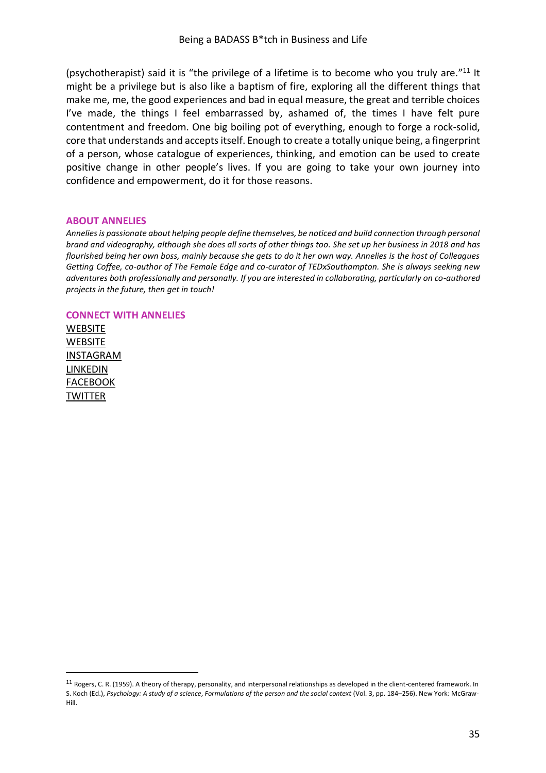(psychotherapist) said it is "the privilege of a lifetime is to become who you truly are." $^{11}$  It might be a privilege but is also like a baptism of fire, exploring all the different things that make me, me, the good experiences and bad in equal measure, the great and terrible choices I've made, the things I feel embarrassed by, ashamed of, the times I have felt pure contentment and freedom. One big boiling pot of everything, enough to forge a rock-solid, core that understands and accepts itself. Enough to create a totally unique being, a fingerprint of a person, whose catalogue of experiences, thinking, and emotion can be used to create positive change in other people's lives. If you are going to take your own journey into confidence and empowerment, do it for those reasons.

#### **ABOUT ANNELIES**

*Annelies is passionate about helping people define themselves, be noticed and build connection through personal brand and videography, although she does all sorts of other things too. She set up her business in 2018 and has flourished being her own boss, mainly because she gets to do it her own way. Annelies is the host of Colleagues Getting Coffee, co-author of The Female Edge and co-curator of TEDxSouthampton. She is always seeking new adventures both professionally and personally. If you are interested in collaborating, particularly on co-authored projects in the future, then get in touch!* 

#### **CONNECT WITH ANNELIES**

**[WEBSITE](https://www.anneliesjames.uk/) [WEBSITE](http://www.expertlypersonal.com/)** [INSTAGRAM](https://www.instagram.com/anneliesjames/) LINKEDIN [FACEBOOK](https://www.facebook.com/anneliesjames) **TWITTER** 

 $11$  Rogers, C. R. (1959). A theory of therapy, personality, and interpersonal relationships as developed in the client-centered framework. In S. Koch (Ed.), *Psychology: A study of a science*, *Formulations of the person and the social context* (Vol. 3, pp. 184–256). New York: McGraw-Hill.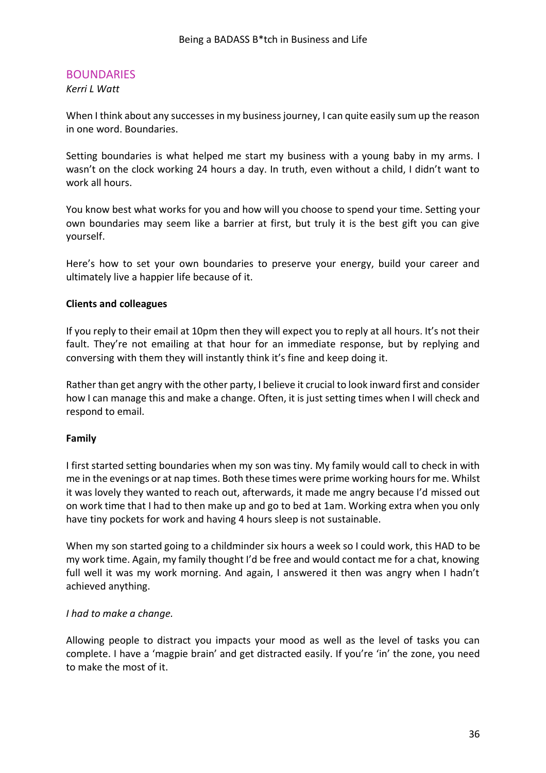# <span id="page-35-0"></span>**BOUNDARIES**

*Kerri L Watt*

When I think about any successes in my business journey, I can quite easily sum up the reason in one word. Boundaries.

Setting boundaries is what helped me start my business with a young baby in my arms. I wasn't on the clock working 24 hours a day. In truth, even without a child, I didn't want to work all hours.

You know best what works for you and how will you choose to spend your time. Setting your own boundaries may seem like a barrier at first, but truly it is the best gift you can give yourself.

Here's how to set your own boundaries to preserve your energy, build your career and ultimately live a happier life because of it.

### **Clients and colleagues**

If you reply to their email at 10pm then they will expect you to reply at all hours. It's not their fault. They're not emailing at that hour for an immediate response, but by replying and conversing with them they will instantly think it's fine and keep doing it.

Rather than get angry with the other party, I believe it crucial to look inward first and consider how I can manage this and make a change. Often, it is just setting times when I will check and respond to email.

#### **Family**

I first started setting boundaries when my son was tiny. My family would call to check in with me in the evenings or at nap times. Both these times were prime working hours for me. Whilst it was lovely they wanted to reach out, afterwards, it made me angry because I'd missed out on work time that I had to then make up and go to bed at 1am. Working extra when you only have tiny pockets for work and having 4 hours sleep is not sustainable.

When my son started going to a childminder six hours a week so I could work, this HAD to be my work time. Again, my family thought I'd be free and would contact me for a chat, knowing full well it was my work morning. And again, I answered it then was angry when I hadn't achieved anything.

#### *I had to make a change.*

Allowing people to distract you impacts your mood as well as the level of tasks you can complete. I have a 'magpie brain' and get distracted easily. If you're 'in' the zone, you need to make the most of it.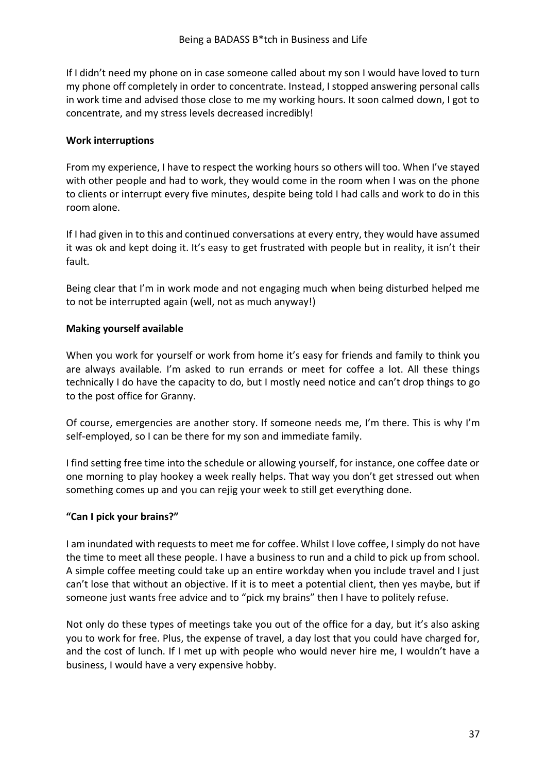If I didn't need my phone on in case someone called about my son I would have loved to turn my phone off completely in order to concentrate. Instead, I stopped answering personal calls in work time and advised those close to me my working hours. It soon calmed down, I got to concentrate, and my stress levels decreased incredibly!

### **Work interruptions**

From my experience, I have to respect the working hours so others will too. When I've stayed with other people and had to work, they would come in the room when I was on the phone to clients or interrupt every five minutes, despite being told I had calls and work to do in this room alone.

If I had given in to this and continued conversations at every entry, they would have assumed it was ok and kept doing it. It's easy to get frustrated with people but in reality, it isn't their fault.

Being clear that I'm in work mode and not engaging much when being disturbed helped me to not be interrupted again (well, not as much anyway!)

# **Making yourself available**

When you work for yourself or work from home it's easy for friends and family to think you are always available. I'm asked to run errands or meet for coffee a lot. All these things technically I do have the capacity to do, but I mostly need notice and can't drop things to go to the post office for Granny.

Of course, emergencies are another story. If someone needs me, I'm there. This is why I'm self-employed, so I can be there for my son and immediate family.

I find setting free time into the schedule or allowing yourself, for instance, one coffee date or one morning to play hookey a week really helps. That way you don't get stressed out when something comes up and you can rejig your week to still get everything done.

# **"Can I pick your brains?"**

I am inundated with requests to meet me for coffee. Whilst I love coffee, I simply do not have the time to meet all these people. I have a business to run and a child to pick up from school. A simple coffee meeting could take up an entire workday when you include travel and I just can't lose that without an objective. If it is to meet a potential client, then yes maybe, but if someone just wants free advice and to "pick my brains" then I have to politely refuse.

Not only do these types of meetings take you out of the office for a day, but it's also asking you to work for free. Plus, the expense of travel, a day lost that you could have charged for, and the cost of lunch. If I met up with people who would never hire me, I wouldn't have a business, I would have a very expensive hobby.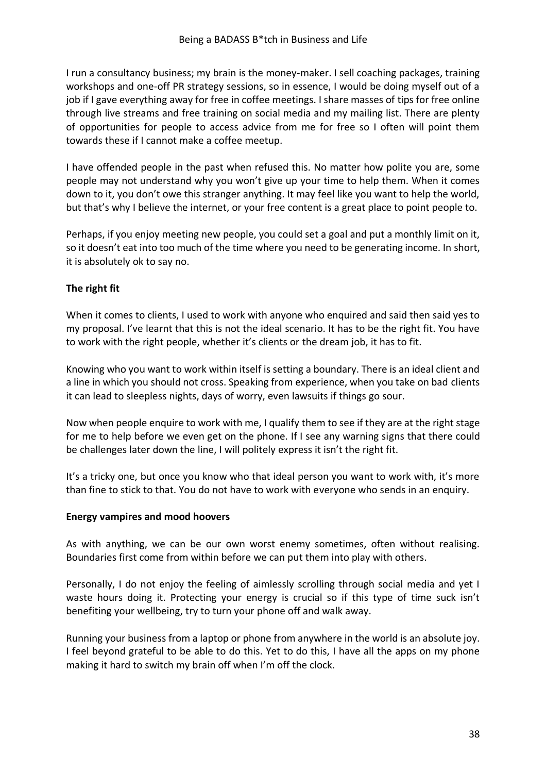I run a consultancy business; my brain is the money-maker. I sell coaching packages, training workshops and one-off PR strategy sessions, so in essence, I would be doing myself out of a job if I gave everything away for free in coffee meetings. I share masses of tips for free online through live streams and free training on social media and my mailing list. There are plenty of opportunities for people to access advice from me for free so I often will point them towards these if I cannot make a coffee meetup.

I have offended people in the past when refused this. No matter how polite you are, some people may not understand why you won't give up your time to help them. When it comes down to it, you don't owe this stranger anything. It may feel like you want to help the world, but that's why I believe the internet, or your free content is a great place to point people to.

Perhaps, if you enjoy meeting new people, you could set a goal and put a monthly limit on it, so it doesn't eat into too much of the time where you need to be generating income. In short, it is absolutely ok to say no.

### **The right fit**

When it comes to clients, I used to work with anyone who enquired and said then said yes to my proposal. I've learnt that this is not the ideal scenario. It has to be the right fit. You have to work with the right people, whether it's clients or the dream job, it has to fit.

Knowing who you want to work within itself is setting a boundary. There is an ideal client and a line in which you should not cross. Speaking from experience, when you take on bad clients it can lead to sleepless nights, days of worry, even lawsuits if things go sour.

Now when people enquire to work with me, I qualify them to see if they are at the right stage for me to help before we even get on the phone. If I see any warning signs that there could be challenges later down the line, I will politely express it isn't the right fit.

It's a tricky one, but once you know who that ideal person you want to work with, it's more than fine to stick to that. You do not have to work with everyone who sends in an enquiry.

#### **Energy vampires and mood hoovers**

As with anything, we can be our own worst enemy sometimes, often without realising. Boundaries first come from within before we can put them into play with others.

Personally, I do not enjoy the feeling of aimlessly scrolling through social media and yet I waste hours doing it. Protecting your energy is crucial so if this type of time suck isn't benefiting your wellbeing, try to turn your phone off and walk away.

Running your business from a laptop or phone from anywhere in the world is an absolute joy. I feel beyond grateful to be able to do this. Yet to do this, I have all the apps on my phone making it hard to switch my brain off when I'm off the clock.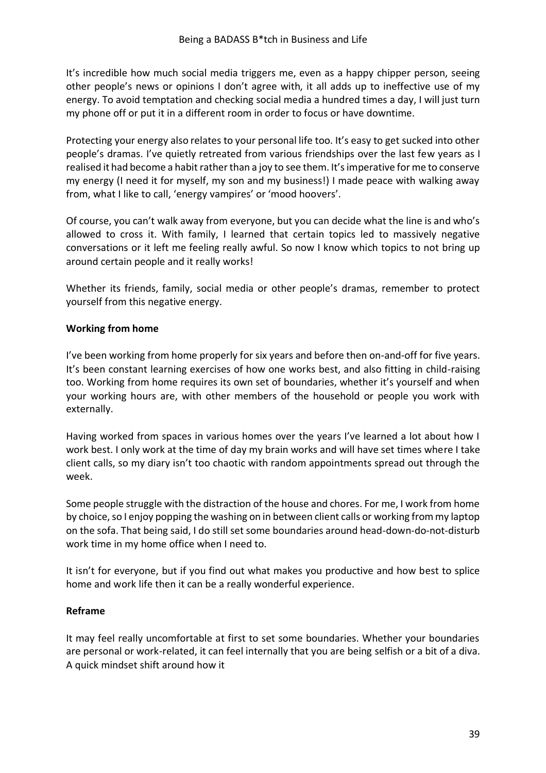It's incredible how much social media triggers me, even as a happy chipper person, seeing other people's news or opinions I don't agree with, it all adds up to ineffective use of my energy. To avoid temptation and checking social media a hundred times a day, I will just turn my phone off or put it in a different room in order to focus or have downtime.

Protecting your energy also relates to your personal life too. It's easy to get sucked into other people's dramas. I've quietly retreated from various friendships over the last few years as I realised it had become a habit rather than a joy to see them. It's imperative for me to conserve my energy (I need it for myself, my son and my business!) I made peace with walking away from, what I like to call, 'energy vampires' or 'mood hoovers'.

Of course, you can't walk away from everyone, but you can decide what the line is and who's allowed to cross it. With family, I learned that certain topics led to massively negative conversations or it left me feeling really awful. So now I know which topics to not bring up around certain people and it really works!

Whether its friends, family, social media or other people's dramas, remember to protect yourself from this negative energy.

### **Working from home**

I've been working from home properly for six years and before then on-and-off for five years. It's been constant learning exercises of how one works best, and also fitting in child-raising too. Working from home requires its own set of boundaries, whether it's yourself and when your working hours are, with other members of the household or people you work with externally.

Having worked from spaces in various homes over the years I've learned a lot about how I work best. I only work at the time of day my brain works and will have set times where I take client calls, so my diary isn't too chaotic with random appointments spread out through the week.

Some people struggle with the distraction of the house and chores. For me, I work from home by choice, so I enjoy popping the washing on in between client calls or working from my laptop on the sofa. That being said, I do still set some boundaries around head-down-do-not-disturb work time in my home office when I need to.

It isn't for everyone, but if you find out what makes you productive and how best to splice home and work life then it can be a really wonderful experience.

### **Reframe**

It may feel really uncomfortable at first to set some boundaries. Whether your boundaries are personal or work-related, it can feel internally that you are being selfish or a bit of a diva. A quick mindset shift around how it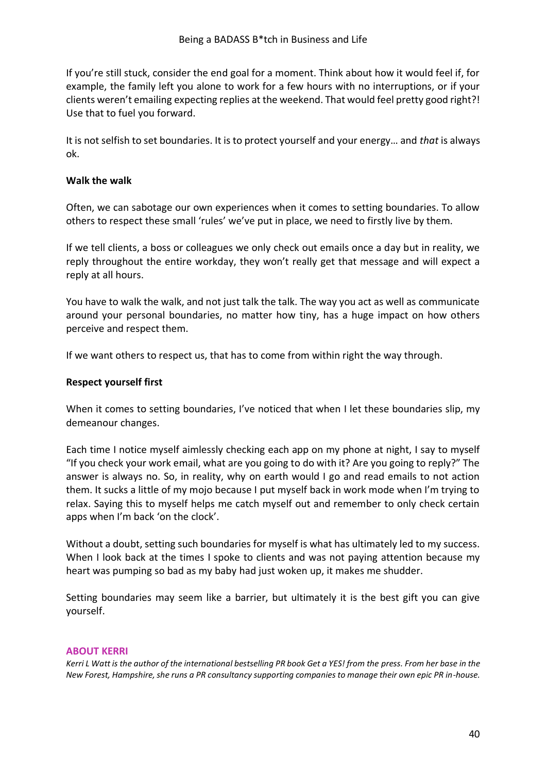If you're still stuck, consider the end goal for a moment. Think about how it would feel if, for example, the family left you alone to work for a few hours with no interruptions, or if your clients weren't emailing expecting replies at the weekend. That would feel pretty good right?! Use that to fuel you forward.

It is not selfish to set boundaries. It is to protect yourself and your energy… and *that* is always ok.

### **Walk the walk**

Often, we can sabotage our own experiences when it comes to setting boundaries. To allow others to respect these small 'rules' we've put in place, we need to firstly live by them.

If we tell clients, a boss or colleagues we only check out emails once a day but in reality, we reply throughout the entire workday, they won't really get that message and will expect a reply at all hours.

You have to walk the walk, and not just talk the talk. The way you act as well as communicate around your personal boundaries, no matter how tiny, has a huge impact on how others perceive and respect them.

If we want others to respect us, that has to come from within right the way through.

### **Respect yourself first**

When it comes to setting boundaries, I've noticed that when I let these boundaries slip, my demeanour changes.

Each time I notice myself aimlessly checking each app on my phone at night, I say to myself "If you check your work email, what are you going to do with it? Are you going to reply?" The answer is always no. So, in reality, why on earth would I go and read emails to not action them. It sucks a little of my mojo because I put myself back in work mode when I'm trying to relax. Saying this to myself helps me catch myself out and remember to only check certain apps when I'm back 'on the clock'.

Without a doubt, setting such boundaries for myself is what has ultimately led to my success. When I look back at the times I spoke to clients and was not paying attention because my heart was pumping so bad as my baby had just woken up, it makes me shudder.

Setting boundaries may seem like a barrier, but ultimately it is the best gift you can give yourself.

#### **ABOUT KERRI**

*Kerri L Watt is the author of the international bestselling PR book Get a YES! from the press. From her base in the New Forest, Hampshire, she runs a PR consultancy supporting companies to manage their own epic PR in-house.*